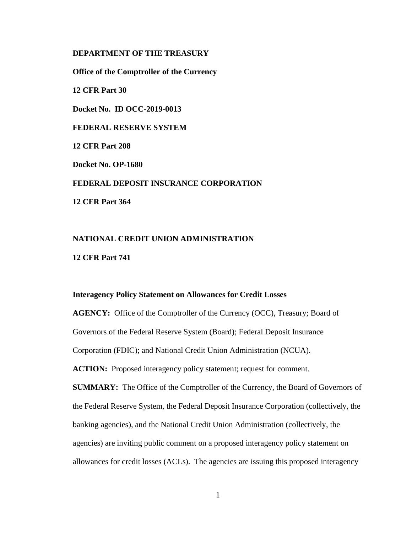## **DEPARTMENT OF THE TREASURY**

**Office of the Comptroller of the Currency**

**12 CFR Part 30** 

**Docket No. ID OCC-2019-0013** 

**FEDERAL RESERVE SYSTEM**

**12 CFR Part 208** 

**Docket No. OP-1680** 

**FEDERAL DEPOSIT INSURANCE CORPORATION**

**12 CFR Part 364** 

# **NATIONAL CREDIT UNION ADMINISTRATION**

**12 CFR Part 741** 

#### **Interagency Policy Statement on Allowances for Credit Losses**

AGENCY: Office of the Comptroller of the Currency (OCC), Treasury; Board of Governors of the Federal Reserve System (Board); Federal Deposit Insurance Corporation (FDIC); and National Credit Union Administration (NCUA).

ACTION: Proposed interagency policy statement; request for comment.

**SUMMARY:** The Office of the Comptroller of the Currency, the Board of Governors of the Federal Reserve System, the Federal Deposit Insurance Corporation (collectively, the banking agencies), and the National Credit Union Administration (collectively, the agencies) are inviting public comment on a proposed interagency policy statement on allowances for credit losses (ACLs). The agencies are issuing this proposed interagency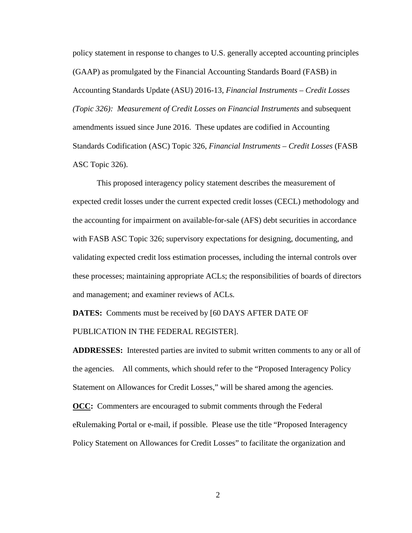policy statement in response to changes to U.S. generally accepted accounting principles (GAAP) as promulgated by the Financial Accounting Standards Board (FASB) in Accounting Standards Update (ASU) 2016-13, *Financial Instruments – Credit Losses (Topic 326): Measurement of Credit Losses on Financial Instruments* and subsequent amendments issued since June 2016. These updates are codified in Accounting Standards Codification (ASC) Topic 326, *Financial Instruments – Credit Losses* (FASB ASC Topic 326).

This proposed interagency policy statement describes the measurement of expected credit losses under the current expected credit losses (CECL) methodology and the accounting for impairment on available-for-sale (AFS) debt securities in accordance with FASB ASC Topic 326; supervisory expectations for designing, documenting, and validating expected credit loss estimation processes, including the internal controls over these processes; maintaining appropriate ACLs; the responsibilities of boards of directors and management; and examiner reviews of ACLs.

**DATES:** Comments must be received by [60 DAYS AFTER DATE OF PUBLICATION IN THE FEDERAL REGISTER].

**ADDRESSES:** Interested parties are invited to submit written comments to any or all of the agencies. All comments, which should refer to the "Proposed Interagency Policy Statement on Allowances for Credit Losses," will be shared among the agencies.

**OCC:** Commenters are encouraged to submit comments through the Federal eRulemaking Portal or e-mail, if possible. Please use the title "Proposed Interagency Policy Statement on Allowances for Credit Losses" to facilitate the organization and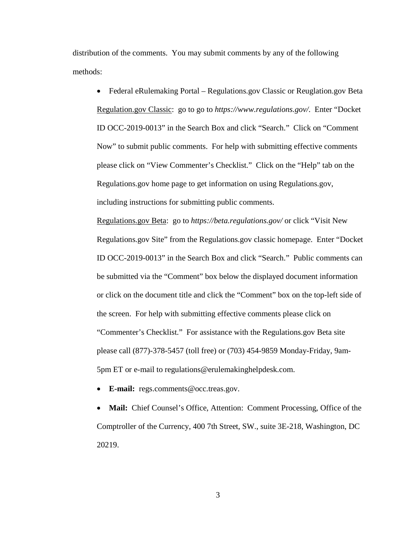distribution of the comments. You may submit comments by any of the following methods:

• Federal eRulemaking Portal – Regulations.gov Classic or Reuglation.gov Beta Regulation.gov Classic: go to go to *https://www.regulations.gov/*. Enter "Docket ID OCC-2019-0013" in the Search Box and click "Search." Click on "Comment Now" to submit public comments. For help with submitting effective comments please click on "View Commenter's Checklist." Click on the "Help" tab on the Regulations.gov home page to get information on using Regulations.gov, including instructions for submitting public comments.

Regulations.gov Beta: go to *https://beta.regulations.gov/* or click "Visit New Regulations.gov Site" from the Regulations.gov classic homepage. Enter "Docket ID OCC-2019-0013" in the Search Box and click "Search." Public comments can be submitted via the "Comment" box below the displayed document information or click on the document title and click the "Comment" box on the top-left side of the screen. For help with submitting effective comments please click on "Commenter's Checklist." For assistance with the Regulations.gov Beta site please call (877)-378-5457 (toll free) or (703) 454-9859 Monday-Friday, 9am-5pm ET or e-mail to regulations@erulemakinghelpdesk.com.

• **E-mail:** regs.comments@occ.treas.gov.

• **Mail:** Chief Counsel's Office, Attention: Comment Processing, Office of the Comptroller of the Currency, 400 7th Street, SW., suite 3E-218, Washington, DC 20219.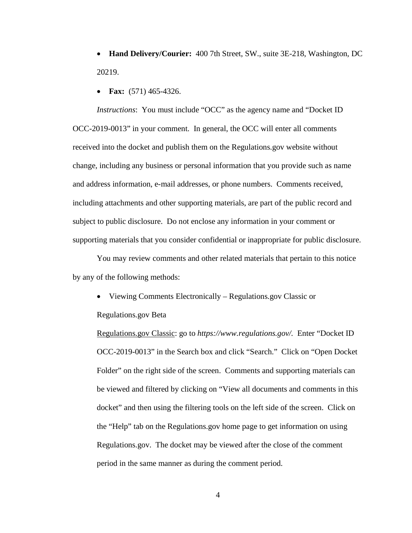- **Hand Delivery/Courier:** 400 7th Street, SW., suite 3E-218, Washington, DC 20219.
- **Fax:** (571) 465-4326.

*Instructions*: You must include "OCC" as the agency name and "Docket ID OCC-2019-0013" in your comment.In general, the OCC will enter all comments received into the docket and publish them on the Regulations.gov website without change, including any business or personal information that you provide such as name and address information, e-mail addresses, or phone numbers. Comments received, including attachments and other supporting materials, are part of the public record and subject to public disclosure. Do not enclose any information in your comment or supporting materials that you consider confidential or inappropriate for public disclosure.

You may review comments and other related materials that pertain to this notice by any of the following methods:

• Viewing Comments Electronically – Regulations.gov Classic or

Regulations.gov Beta

Regulations.gov Classic: go to *https://www.regulations.gov/.* Enter "Docket ID OCC-2019-0013" in the Search box and click "Search." Click on "Open Docket Folder" on the right side of the screen. Comments and supporting materials can be viewed and filtered by clicking on "View all documents and comments in this docket" and then using the filtering tools on the left side of the screen. Click on the "Help" tab on the Regulations.gov home page to get information on using Regulations.gov. The docket may be viewed after the close of the comment period in the same manner as during the comment period.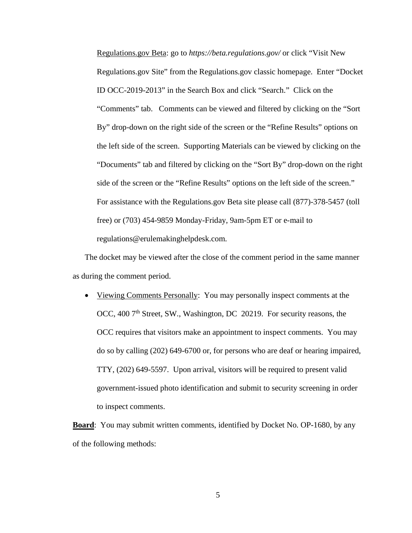Regulations.gov Beta: go to *https://beta.regulations.gov/* or click "Visit New Regulations.gov Site" from the Regulations.gov classic homepage. Enter "Docket ID OCC-2019-2013" in the Search Box and click "Search." Click on the "Comments" tab. Comments can be viewed and filtered by clicking on the "Sort By" drop-down on the right side of the screen or the "Refine Results" options on the left side of the screen. Supporting Materials can be viewed by clicking on the "Documents" tab and filtered by clicking on the "Sort By" drop-down on the right side of the screen or the "Refine Results" options on the left side of the screen." For assistance with the Regulations.gov Beta site please call (877)-378-5457 (toll free) or (703) 454-9859 Monday-Friday, 9am-5pm ET or e-mail to regulations@erulemakinghelpdesk.com.

The docket may be viewed after the close of the comment period in the same manner as during the comment period.

• Viewing Comments Personally: You may personally inspect comments at the OCC, 400 7<sup>th</sup> Street, SW., Washington, DC 20219. For security reasons, the OCC requires that visitors make an appointment to inspect comments. You may do so by calling (202) 649-6700 or, for persons who are deaf or hearing impaired, TTY, (202) 649-5597. Upon arrival, visitors will be required to present valid government-issued photo identification and submit to security screening in order to inspect comments.

**Board**: You may submit written comments, identified by Docket No. OP-1680, by any of the following methods: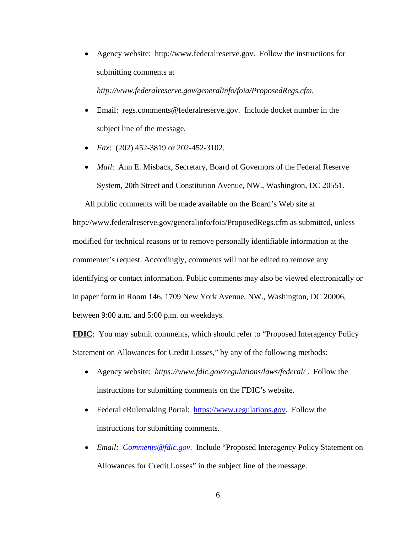• Agency website: http://www.federalreserve.gov. Follow the instructions for submitting comments at

*http://www.federalreserve.gov/generalinfo/foia/ProposedRegs.cfm*.

- Email: regs.comments@federalreserve.gov. Include docket number in the subject line of the message.
- *Fax*: (202) 452-3819 or 202-452-3102.
- *Mail*: Ann E. Misback, Secretary, Board of Governors of the Federal Reserve System, 20th Street and Constitution Avenue, NW., Washington, DC 20551.

All public comments will be made available on the Board's Web site at http://www.federalreserve.gov/generalinfo/foia/ProposedRegs.cfm as submitted, unless modified for technical reasons or to remove personally identifiable information at the commenter's request. Accordingly, comments will not be edited to remove any identifying or contact information. Public comments may also be viewed electronically or in paper form in Room 146, 1709 New York Avenue, NW., Washington, DC 20006, between 9:00 a.m. and 5:00 p.m. on weekdays.

**FDIC**: You may submit comments, which should refer to "Proposed Interagency Policy" Statement on Allowances for Credit Losses," by any of the following methods:

- Agency website: *https://www.fdic.gov/regulations/laws/federal/* . Follow the instructions for submitting comments on the FDIC's website.
- Federal eRulemaking Portal: https://www.regulations.gov. Follow the instructions for submitting comments.
- *Email: Comments@fdic.gov*. Include "Proposed Interagency Policy Statement on Allowances for Credit Losses" in the subject line of the message.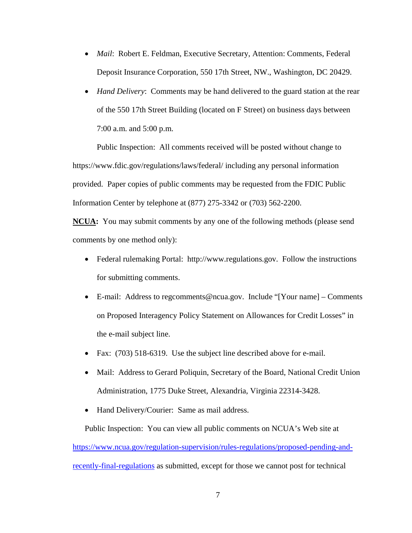- *Mail*: Robert E. Feldman, Executive Secretary, Attention: Comments, Federal Deposit Insurance Corporation, 550 17th Street, NW., Washington, DC 20429.
- *Hand Delivery*: Comments may be hand delivered to the guard station at the rear of the 550 17th Street Building (located on F Street) on business days between 7:00 a.m. and 5:00 p.m.

Public Inspection: All comments received will be posted without change to https://www.fdic.gov/regulations/laws/federal/ including any personal information provided. Paper copies of public comments may be requested from the FDIC Public Information Center by telephone at (877) 275-3342 or (703) 562-2200.

**NCUA:** You may submit comments by any one of the following methods (please send comments by one method only):

- Federal rulemaking Portal: http://www.regulations.gov. Follow the instructions for submitting comments.
- E-mail: Address to regcomments@ncua.gov. Include "[Your name] Comments on Proposed Interagency Policy Statement on Allowances for Credit Losses" in the e-mail subject line.
- Fax: (703) 518-6319. Use the subject line described above for e-mail.
- Mail: Address to Gerard Poliquin, Secretary of the Board, National Credit Union Administration, 1775 Duke Street, Alexandria, Virginia 22314-3428.
- Hand Delivery/Courier: Same as mail address.

Public Inspection: You can view all public comments on NCUA's Web site at [https://www.ncua.gov/regulation-supervision/rules-regulations/proposed-pending-and](https://www.ncua.gov/regulation-supervision/rules-regulations/proposed-pending-and-recently-final-regulations)[recently-final-regulations](https://www.ncua.gov/regulation-supervision/rules-regulations/proposed-pending-and-recently-final-regulations) as submitted, except for those we cannot post for technical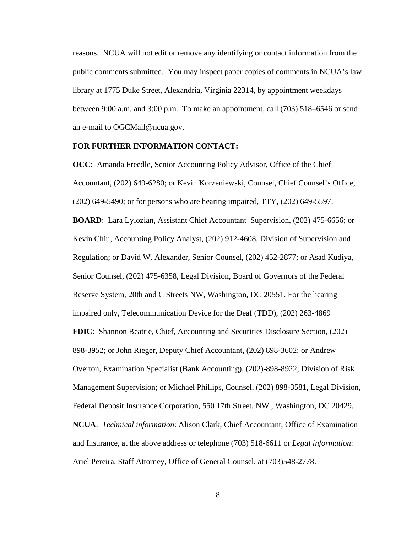reasons. NCUA will not edit or remove any identifying or contact information from the public comments submitted. You may inspect paper copies of comments in NCUA's law library at 1775 Duke Street, Alexandria, Virginia 22314, by appointment weekdays between 9:00 a.m. and 3:00 p.m. To make an appointment, call (703) 518–6546 or send an e-mail to [OGCMail@ncua.gov.](mailto:OGCMail@ncua.gov)

### **FOR FURTHER INFORMATION CONTACT:**

**OCC**: Amanda Freedle, Senior Accounting Policy Advisor, Office of the Chief Accountant, (202) 649-6280; or Kevin Korzeniewski, Counsel, Chief Counsel's Office, (202) 649-5490; or for persons who are hearing impaired, TTY, (202) 649-5597.

**BOARD**:Lara Lylozian, Assistant Chief Accountant–Supervision, (202) 475-6656; or Kevin Chiu, Accounting Policy Analyst, (202) 912-4608, Division of Supervision and Regulation; or David W. Alexander, Senior Counsel, (202) 452-2877; or Asad Kudiya, Senior Counsel, (202) 475-6358, Legal Division, Board of Governors of the Federal Reserve System, 20th and C Streets NW, Washington, DC 20551. For the hearing impaired only, Telecommunication Device for the Deaf (TDD), (202) 263-4869 **FDIC**: Shannon Beattie, Chief, Accounting and Securities Disclosure Section, (202) 898-3952; or John Rieger, Deputy Chief Accountant, (202) 898-3602; or Andrew Overton, Examination Specialist (Bank Accounting), (202)-898-8922; Division of Risk Management Supervision; or Michael Phillips, Counsel, (202) 898-3581, Legal Division, Federal Deposit Insurance Corporation, 550 17th Street, NW., Washington, DC 20429. **NCUA**: *Technical information*: Alison Clark, Chief Accountant, Office of Examination and Insurance, at the above address or telephone (703) 518-6611 or *Legal information*: Ariel Pereira, Staff Attorney, Office of General Counsel, at (703)548-2778.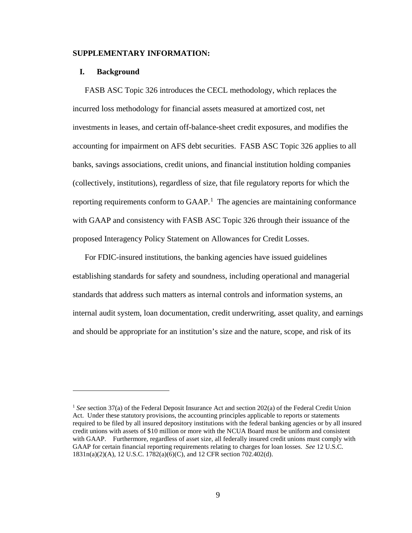#### **SUPPLEMENTARY INFORMATION:**

#### **I. Background**

 $\overline{a}$ 

FASB ASC Topic 326 introduces the CECL methodology, which replaces the incurred loss methodology for financial assets measured at amortized cost, net investments in leases, and certain off-balance-sheet credit exposures, and modifies the accounting for impairment on AFS debt securities. FASB ASC Topic 326 applies to all banks, savings associations, credit unions, and financial institution holding companies (collectively, institutions), regardless of size, that file regulatory reports for which the reporting requirements conform to GAAP. [1](#page-8-0) The agencies are maintaining conformance with GAAP and consistency with FASB ASC Topic 326 through their issuance of the proposed Interagency Policy Statement on Allowances for Credit Losses.

For FDIC-insured institutions, the banking agencies have issued guidelines establishing standards for safety and soundness, including operational and managerial standards that address such matters as internal controls and information systems, an internal audit system, loan documentation, credit underwriting, asset quality, and earnings and should be appropriate for an institution's size and the nature, scope, and risk of its

<span id="page-8-0"></span><sup>&</sup>lt;sup>1</sup> *See* section 37(a) of the Federal Deposit Insurance Act and section 202(a) of the Federal Credit Union Act. Under these statutory provisions, the accounting principles applicable to reports or statements required to be filed by all insured depository institutions with the federal banking agencies or by all insured credit unions with assets of \$10 million or more with the NCUA Board must be uniform and consistent with GAAP. Furthermore, regardless of asset size, all federally insured credit unions must comply with GAAP for certain financial reporting requirements relating to charges for loan losses. *See* 12 U.S.C. 1831n(a)(2)(A), 12 U.S.C. 1782(a)(6)(C), and 12 CFR section 702.402(d).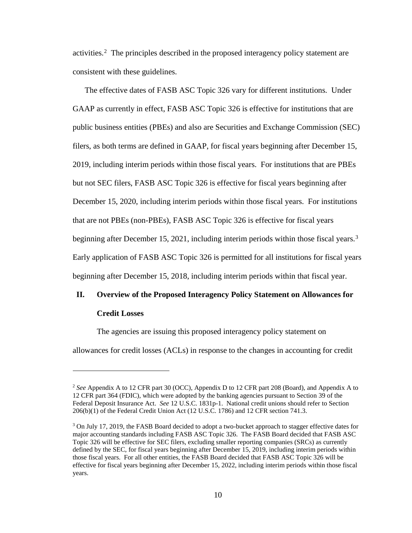activities.[2](#page-9-0) The principles described in the proposed interagency policy statement are consistent with these guidelines.

The effective dates of FASB ASC Topic 326 vary for different institutions. Under GAAP as currently in effect, FASB ASC Topic 326 is effective for institutions that are public business entities (PBEs) and also are Securities and Exchange Commission (SEC) filers, as both terms are defined in GAAP, for fiscal years beginning after December 15, 2019, including interim periods within those fiscal years. For institutions that are PBEs but not SEC filers, FASB ASC Topic 326 is effective for fiscal years beginning after December 15, 2020, including interim periods within those fiscal years. For institutions that are not PBEs (non-PBEs), FASB ASC Topic 326 is effective for fiscal years beginning after December 15, 2021, including interim periods within those fiscal years.<sup>[3](#page-9-1)</sup> Early application of FASB ASC Topic 326 is permitted for all institutions for fiscal years beginning after December 15, 2018, including interim periods within that fiscal year.

# **II. Overview of the Proposed Interagency Policy Statement on Allowances for**

#### **Credit Losses**

 $\overline{a}$ 

The agencies are issuing this proposed interagency policy statement on

allowances for credit losses (ACLs) in response to the changes in accounting for credit

<span id="page-9-0"></span><sup>2</sup> *See* Appendix A to 12 CFR part 30 (OCC), Appendix D to 12 CFR part 208 (Board), and Appendix A to 12 CFR part 364 (FDIC), which were adopted by the banking agencies pursuant to Section 39 of the Federal Deposit Insurance Act. *See* 12 U.S.C. 1831p-1. National credit unions should refer to Section 206(b)(1) of the Federal Credit Union Act (12 U.S.C. 1786) and 12 CFR section 741.3.

<span id="page-9-1"></span><sup>&</sup>lt;sup>3</sup> On July 17, 2019, the FASB Board decided to adopt a two-bucket approach to stagger effective dates for major accounting standards including FASB ASC Topic 326. The FASB Board decided that FASB ASC Topic 326 will be effective for SEC filers, excluding smaller reporting companies (SRCs) as currently defined by the SEC, for fiscal years beginning after December 15, 2019, including interim periods within those fiscal years. For all other entities, the FASB Board decided that FASB ASC Topic 326 will be effective for fiscal years beginning after December 15, 2022, including interim periods within those fiscal years.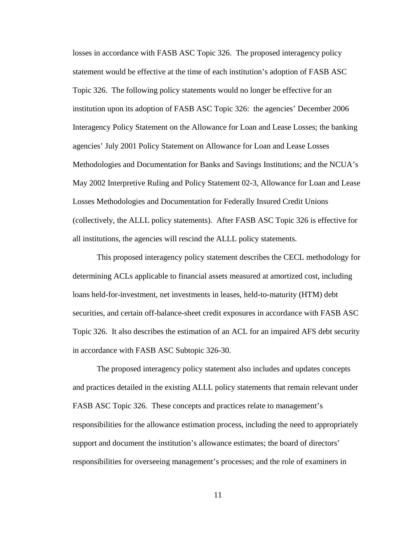losses in accordance with FASB ASC Topic 326. The proposed interagency policy statement would be effective at the time of each institution's adoption of FASB ASC Topic 326. The following policy statements would no longer be effective for an institution upon its adoption of FASB ASC Topic 326: the agencies' December 2006 Interagency Policy Statement on the Allowance for Loan and Lease Losses; the banking agencies' July 2001 Policy Statement on Allowance for Loan and Lease Losses Methodologies and Documentation for Banks and Savings Institutions; and the NCUA's May 2002 Interpretive Ruling and Policy Statement 02-3, Allowance for Loan and Lease Losses Methodologies and Documentation for Federally Insured Credit Unions (collectively, the ALLL policy statements). After FASB ASC Topic 326 is effective for all institutions, the agencies will rescind the ALLL policy statements.

This proposed interagency policy statement describes the CECL methodology for determining ACLs applicable to financial assets measured at amortized cost, including loans held-for-investment, net investments in leases, held-to-maturity (HTM) debt securities, and certain off-balance-sheet credit exposures in accordance with FASB ASC Topic 326. It also describes the estimation of an ACL for an impaired AFS debt security in accordance with FASB ASC Subtopic 326-30.

The proposed interagency policy statement also includes and updates concepts and practices detailed in the existing ALLL policy statements that remain relevant under FASB ASC Topic 326. These concepts and practices relate to management's responsibilities for the allowance estimation process, including the need to appropriately support and document the institution's allowance estimates; the board of directors' responsibilities for overseeing management's processes; and the role of examiners in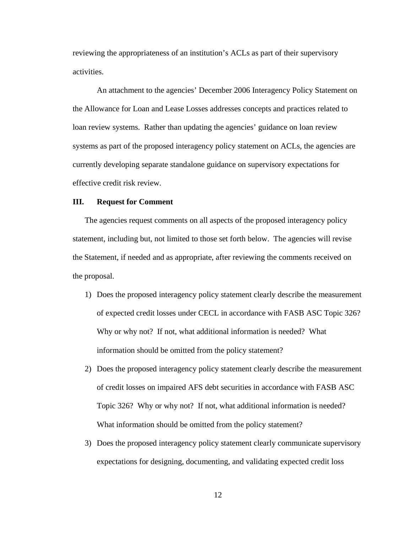reviewing the appropriateness of an institution's ACLs as part of their supervisory activities.

An attachment to the agencies' December 2006 Interagency Policy Statement on the Allowance for Loan and Lease Losses addresses concepts and practices related to loan review systems. Rather than updating the agencies' guidance on loan review systems as part of the proposed interagency policy statement on ACLs, the agencies are currently developing separate standalone guidance on supervisory expectations for effective credit risk review.

#### **III. Request for Comment**

The agencies request comments on all aspects of the proposed interagency policy statement, including but, not limited to those set forth below. The agencies will revise the Statement, if needed and as appropriate, after reviewing the comments received on the proposal.

- 1) Does the proposed interagency policy statement clearly describe the measurement of expected credit losses under CECL in accordance with FASB ASC Topic 326? Why or why not? If not, what additional information is needed? What information should be omitted from the policy statement?
- 2) Does the proposed interagency policy statement clearly describe the measurement of credit losses on impaired AFS debt securities in accordance with FASB ASC Topic 326? Why or why not? If not, what additional information is needed? What information should be omitted from the policy statement?
- 3) Does the proposed interagency policy statement clearly communicate supervisory expectations for designing, documenting, and validating expected credit loss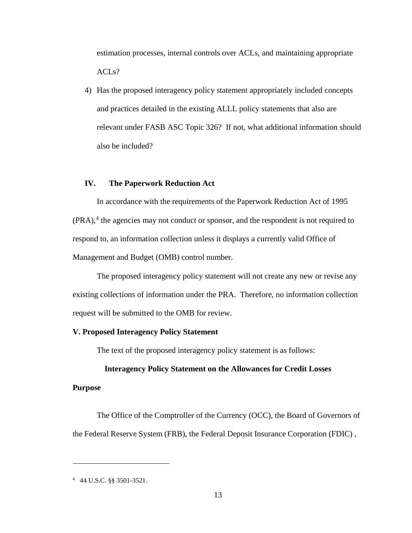estimation processes, internal controls over ACLs, and maintaining appropriate  $ACLs$ ?

4) Has the proposed interagency policy statement appropriately included concepts and practices detailed in the existing ALLL policy statements that also are relevant under FASB ASC Topic 326? If not, what additional information should also be included?

# **IV. The Paperwork Reduction Act**

In accordance with the requirements of the Paperwork Reduction Act of 1995 (PRA), [4](#page-12-0) the agencies may not conduct or sponsor, and the respondent is not required to respond to, an information collection unless it displays a currently valid Office of Management and Budget (OMB) control number.

The proposed interagency policy statement will not create any new or revise any existing collections of information under the PRA. Therefore, no information collection request will be submitted to the OMB for review.

#### **V. Proposed Interagency Policy Statement**

The text of the proposed interagency policy statement is as follows:

## **Interagency Policy Statement on the Allowances for Credit Losses**

#### **Purpose**

 $\overline{a}$ 

The Office of the Comptroller of the Currency (OCC), the Board of Governors of the Federal Reserve System (FRB), the Federal Deposit Insurance Corporation (FDIC) ,

<span id="page-12-0"></span><sup>4</sup> 44 U.S.C. §§ 3501-3521.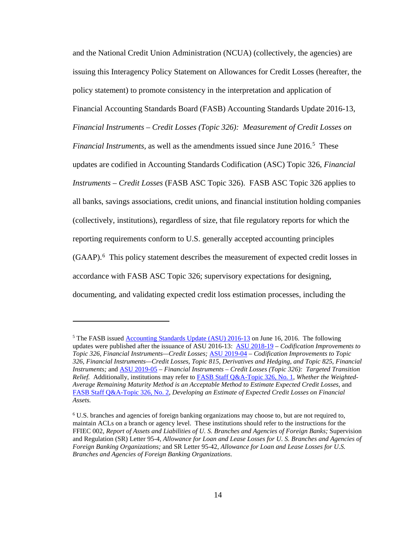and the National Credit Union Administration (NCUA) (collectively, the agencies) are issuing this Interagency Policy Statement on Allowances for Credit Losses (hereafter, the policy statement) to promote consistency in the interpretation and application of Financial Accounting Standards Board (FASB) Accounting Standards Update 2016-13, *Financial Instruments – Credit Losses (Topic 326): Measurement of Credit Losses on Financial Instruments,* as well as the amendments issued since June 2016. [5](#page-13-0) These updates are codified in Accounting Standards Codification (ASC) Topic 326, *Financial Instruments – Credit Losses* (FASB ASC Topic 326). FASB ASC Topic 326 applies to all banks, savings associations, credit unions, and financial institution holding companies (collectively, institutions), regardless of size, that file regulatory reports for which the reporting requirements conform to U.S. generally accepted accounting principles (GAAP).[6](#page-13-1) This policy statement describes the measurement of expected credit losses in accordance with FASB ASC Topic 326; supervisory expectations for designing, documenting, and validating expected credit loss estimation processes, including the

<span id="page-13-0"></span><sup>&</sup>lt;sup>5</sup> The FASB issued <u>Accounting Standards Update (ASU) 2016-13</u> on June 16, 2016. The following updates were published after the issuance of ASU 2016-13: [ASU 2018-19](https://www.fasb.org/jsp/FASB/Document_C/DocumentPage?cid=1176171644373&acceptedDisclaimer=true) – *Codification Improvements to Topic 326, Financial Instruments—Credit Losses;* [ASU 2019-04](https://www.fasb.org/jsp/FASB/Document_C/DocumentPage?cid=1176172541591&acceptedDisclaimer=true) – *Codification Improvements to Topic 326, Financial Instruments—Credit Losses, Topic 815, Derivatives and Hedging, and Topic 825, Financial Instruments;* and [ASU 2019-05](https://www.fasb.org/jsp/FASB/Document_C/DocumentPage?cid=1176172668879&acceptedDisclaimer=true) – *Financial Instruments – Credit Losses (Topic 326): Targeted Transition Relief.* Additionally, institutions may refer t[o FASB Staff Q&A-Topic 326, No. 1,](https://www.fasb.org/jsp/FASB/Document_C/DocumentPage&cid=1176171932989) *Whether the Weighted-Average Remaining Maturity Method is an Acceptable Method to Estimate Expected Credit Losses,* and [FASB Staff Q&A-Topic 326, No. 2,](https://www.fasb.org/jsp/FASB/Document_C/DocumentPage&cid=1176172970152) *Developing an Estimate of Expected Credit Losses on Financial Assets.*

<span id="page-13-1"></span><sup>6</sup> U.S. branches and agencies of foreign banking organizations may choose to, but are not required to, maintain ACLs on a branch or agency level. These institutions should refer to the instructions for the FFIEC 002, *Report of Assets and Liabilities of U. S. Branches and Agencies of Foreign Banks;* Supervision and Regulation (SR) Letter 95-4, *Allowance for Loan and Lease Losses for U. S. Branches and Agencies of Foreign Banking Organizations;* and SR Letter 95-42, *Allowance for Loan and Lease Losses for U.S. Branches and Agencies of Foreign Banking Organizations*.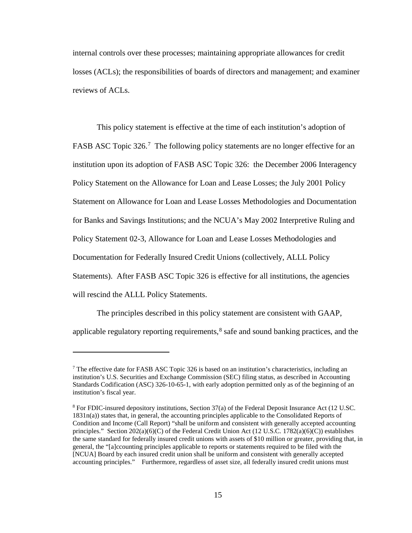internal controls over these processes; maintaining appropriate allowances for credit losses (ACLs); the responsibilities of boards of directors and management; and examiner reviews of ACLs.

This policy statement is effective at the time of each institution's adoption of FASB ASC Topic 326.<sup>7</sup> The following policy statements are no longer effective for an institution upon its adoption of FASB ASC Topic 326: the December 2006 Interagency Policy Statement on the Allowance for Loan and Lease Losses; the July 2001 Policy Statement on Allowance for Loan and Lease Losses Methodologies and Documentation for Banks and Savings Institutions; and the NCUA's May 2002 Interpretive Ruling and Policy Statement 02-3, Allowance for Loan and Lease Losses Methodologies and Documentation for Federally Insured Credit Unions (collectively, ALLL Policy Statements). After FASB ASC Topic 326 is effective for all institutions, the agencies will rescind the ALLL Policy Statements.

The principles described in this policy statement are consistent with GAAP, applicable regulatory reporting requirements,  $8$  safe and sound banking practices, and the

<span id="page-14-0"></span><sup>&</sup>lt;sup>7</sup> The effective date for FASB ASC Topic 326 is based on an institution's characteristics, including an institution's U.S. Securities and Exchange Commission (SEC) filing status, as described in Accounting Standards Codification (ASC) 326-10-65-1, with early adoption permitted only as of the beginning of an institution's fiscal year.

<span id="page-14-1"></span><sup>8</sup> For FDIC-insured depository institutions, Section 37(a) of the Federal Deposit Insurance Act (12 U.SC. 1831n(a)) states that, in general, the accounting principles applicable to the Consolidated Reports of Condition and Income (Call Report) "shall be uniform and consistent with generally accepted accounting principles." Section  $202(a)(6)(C)$  of the Federal Credit Union Act  $(12 \text{ U.S.C. } 1782(a)(6)(C))$  establishes the same standard for federally insured credit unions with assets of \$10 million or greater, providing that, in general, the "[a]ccounting principles applicable to reports or statements required to be filed with the [NCUA] Board by each insured credit union shall be uniform and consistent with generally accepted accounting principles." Furthermore, regardless of asset size, all federally insured credit unions must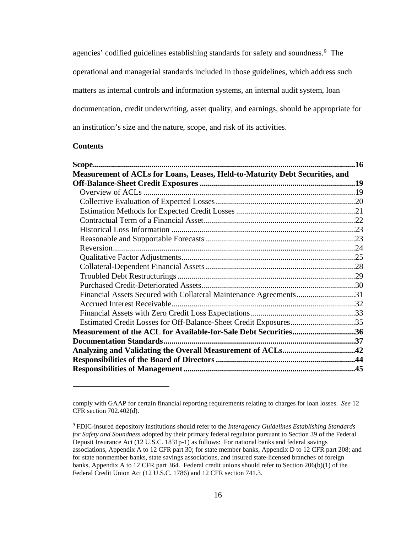agencies' codified guidelines establishing standards for safety and soundness.<sup>[9](#page-15-0)</sup> The operational and managerial standards included in those guidelines, which address such matters as internal controls and information systems, an internal audit system, loan documentation, credit underwriting, asset quality, and earnings, should be appropriate for an institution's size and the nature, scope, and risk of its activities.

### **Contents**

|                                                                              | 16 |
|------------------------------------------------------------------------------|----|
| Measurement of ACLs for Loans, Leases, Held-to-Maturity Debt Securities, and |    |
|                                                                              |    |
|                                                                              |    |
|                                                                              |    |
|                                                                              |    |
|                                                                              |    |
|                                                                              |    |
|                                                                              |    |
|                                                                              |    |
|                                                                              |    |
|                                                                              |    |
|                                                                              |    |
|                                                                              |    |
| Financial Assets Secured with Collateral Maintenance Agreements31            |    |
|                                                                              |    |
|                                                                              |    |
| Estimated Credit Losses for Off-Balance-Sheet Credit Exposures35             |    |
| Measurement of the ACL for Available-for-Sale Debt Securities36              |    |
|                                                                              |    |
|                                                                              |    |
|                                                                              |    |
|                                                                              |    |

comply with GAAP for certain financial reporting requirements relating to charges for loan losses. *See* 12 CFR section 702.402(d).

<span id="page-15-0"></span><sup>9</sup> FDIC-insured depository institutions should refer to the *Interagency Guidelines Establishing Standards for Safety and Soundness* adopted by their primary federal regulator pursuant to Section 39 of the Federal Deposit Insurance Act (12 U.S.C. 1831p-1) as follows: For national banks and federal savings associations, Appendix A to 12 CFR part 30; for state member banks, Appendix D to 12 CFR part 208; and for state nonmember banks, state savings associations, and insured state-licensed branches of foreign banks, Appendix A to 12 CFR part 364. Federal credit unions should refer to Section 206(b)(1) of the Federal Credit Union Act (12 U.S.C. 1786) and 12 CFR section 741.3.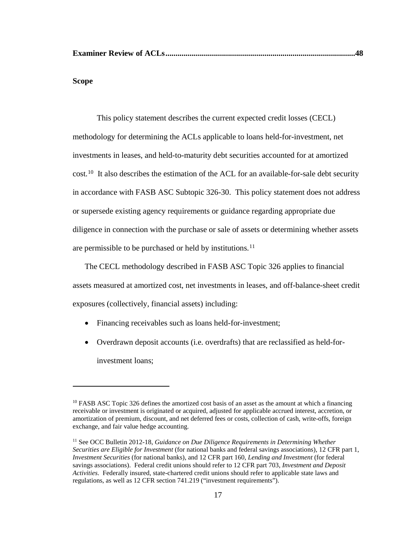# **Scope**

 $\overline{a}$ 

This policy statement describes the current expected credit losses (CECL) methodology for determining the ACLs applicable to loans held-for-investment, net investments in leases, and held-to-maturity debt securities accounted for at amortized cost.<sup>10</sup> It also describes the estimation of the ACL for an available-for-sale debt security in accordance with FASB ASC Subtopic 326-30. This policy statement does not address or supersede existing agency requirements or guidance regarding appropriate due diligence in connection with the purchase or sale of assets or determining whether assets are permissible to be purchased or held by institutions.<sup>[11](#page-16-1)</sup>

The CECL methodology described in FASB ASC Topic 326 applies to financial assets measured at amortized cost, net investments in leases, and off-balance-sheet credit exposures (collectively, financial assets) including:

- Financing receivables such as loans held-for-investment;
- Overdrawn deposit accounts (i.e. overdrafts) that are reclassified as held-forinvestment loans;

<span id="page-16-0"></span> $10$  FASB ASC Topic 326 defines the amortized cost basis of an asset as the amount at which a financing receivable or investment is originated or acquired, adjusted for applicable accrued interest, accretion, or amortization of premium, discount, and net deferred fees or costs, collection of cash, write-offs, foreign exchange, and fair value hedge accounting.

<span id="page-16-1"></span><sup>11</sup> See OCC Bulletin 2012-18, *Guidance on Due Diligence Requirements in Determining Whether Securities are Eligible for Investment* (for national banks and federal savings associations), 12 CFR part 1, *Investment Securities* (for national banks), and 12 CFR part 160, *Lending and Investment* (for federal savings associations). Federal credit unions should refer to 12 CFR part 703, *Investment and Deposit Activities*. Federally insured, state-chartered credit unions should refer to applicable state laws and regulations, as well as 12 CFR section 741.219 ("investment requirements").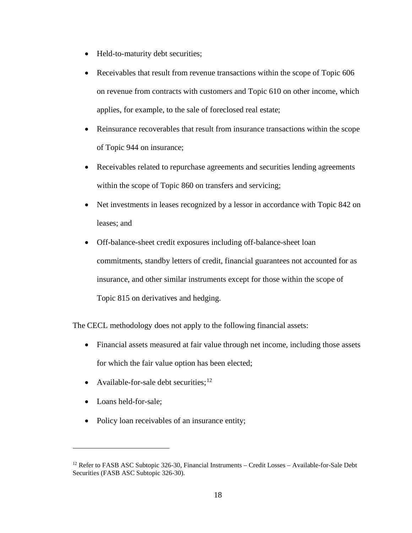- Held-to-maturity debt securities;
- Receivables that result from revenue transactions within the scope of Topic 606 on revenue from contracts with customers and Topic 610 on other income, which applies, for example, to the sale of foreclosed real estate;
- Reinsurance recoverables that result from insurance transactions within the scope of Topic 944 on insurance;
- Receivables related to repurchase agreements and securities lending agreements within the scope of Topic 860 on transfers and servicing;
- Net investments in leases recognized by a lessor in accordance with Topic 842 on leases; and
- Off-balance-sheet credit exposures including off-balance-sheet loan commitments, standby letters of credit, financial guarantees not accounted for as insurance, and other similar instruments except for those within the scope of Topic 815 on derivatives and hedging.

The CECL methodology does not apply to the following financial assets:

- Financial assets measured at fair value through net income, including those assets for which the fair value option has been elected;
- Available-for-sale debt securities;  $12$
- Loans held-for-sale;

 $\overline{a}$ 

• Policy loan receivables of an insurance entity;

<span id="page-17-0"></span><sup>&</sup>lt;sup>12</sup> Refer to FASB ASC Subtopic 326-30, Financial Instruments – Credit Losses – Available-for-Sale Debt Securities (FASB ASC Subtopic 326-30).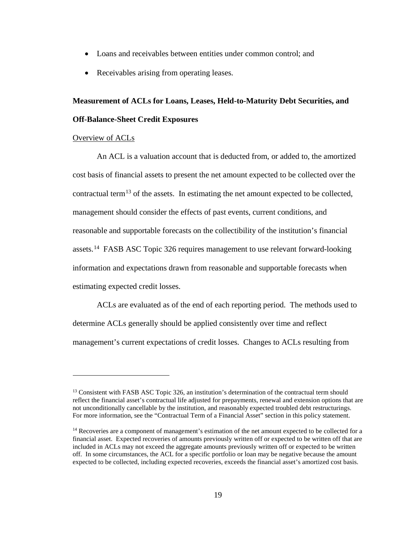- Loans and receivables between entities under common control; and
- Receivables arising from operating leases.

# **Measurement of ACLs for Loans, Leases, Held-to-Maturity Debt Securities, and Off-Balance-Sheet Credit Exposures**

## Overview of ACLs

 $\overline{a}$ 

An ACL is a valuation account that is deducted from, or added to, the amortized cost basis of financial assets to present the net amount expected to be collected over the contractual term<sup>[13](#page-18-0)</sup> of the assets. In estimating the net amount expected to be collected, management should consider the effects of past events, current conditions, and reasonable and supportable forecasts on the collectibility of the institution's financial assets.[14](#page-18-1) FASB ASC Topic 326 requires management to use relevant forward-looking information and expectations drawn from reasonable and supportable forecasts when estimating expected credit losses.

ACLs are evaluated as of the end of each reporting period. The methods used to determine ACLs generally should be applied consistently over time and reflect management's current expectations of credit losses. Changes to ACLs resulting from

<span id="page-18-0"></span><sup>&</sup>lt;sup>13</sup> Consistent with FASB ASC Topic 326, an institution's determination of the contractual term should reflect the financial asset's contractual life adjusted for prepayments, renewal and extension options that are not unconditionally cancellable by the institution, and reasonably expected troubled debt restructurings. For more information, see the "Contractual Term of a Financial Asset" section in this policy statement.

<span id="page-18-1"></span><sup>&</sup>lt;sup>14</sup> Recoveries are a component of management's estimation of the net amount expected to be collected for a financial asset. Expected recoveries of amounts previously written off or expected to be written off that are included in ACLs may not exceed the aggregate amounts previously written off or expected to be written off. In some circumstances, the ACL for a specific portfolio or loan may be negative because the amount expected to be collected, including expected recoveries, exceeds the financial asset's amortized cost basis.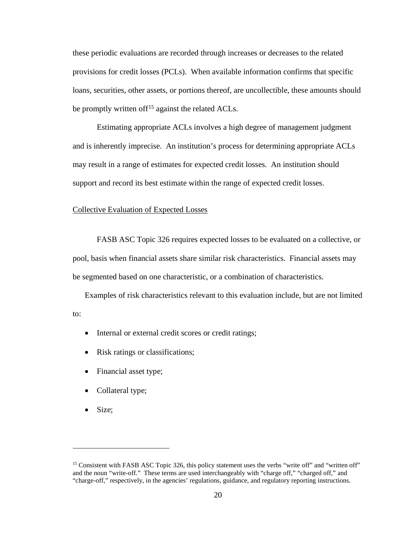these periodic evaluations are recorded through increases or decreases to the related provisions for credit losses (PCLs). When available information confirms that specific loans, securities, other assets, or portions thereof, are uncollectible, these amounts should be promptly written of  $f^{15}$  $f^{15}$  $f^{15}$  against the related ACLs.

Estimating appropriate ACLs involves a high degree of management judgment and is inherently imprecise. An institution's process for determining appropriate ACLs may result in a range of estimates for expected credit losses. An institution should support and record its best estimate within the range of expected credit losses.

#### Collective Evaluation of Expected Losses

FASB ASC Topic 326 requires expected losses to be evaluated on a collective, or pool, basis when financial assets share similar risk characteristics. Financial assets may be segmented based on one characteristic, or a combination of characteristics.

Examples of risk characteristics relevant to this evaluation include, but are not limited to:

- Internal or external credit scores or credit ratings;
- Risk ratings or classifications;
- Financial asset type;
- Collateral type;
- Size;

<span id="page-19-0"></span><sup>&</sup>lt;sup>15</sup> Consistent with FASB ASC Topic 326, this policy statement uses the verbs "write off" and "written off" and the noun "write-off." These terms are used interchangeably with "charge off," "charged off," and "charge-off," respectively, in the agencies' regulations, guidance, and regulatory reporting instructions.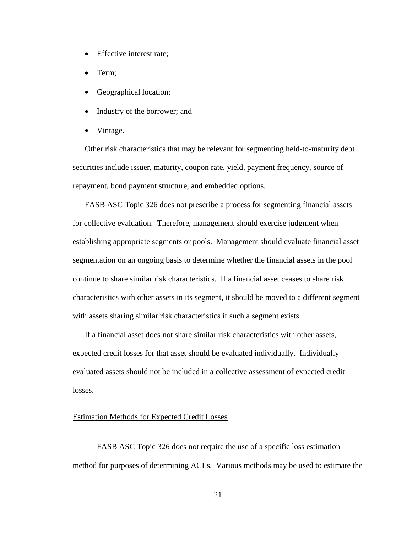- Effective interest rate;
- Term;
- Geographical location;
- Industry of the borrower; and
- Vintage.

Other risk characteristics that may be relevant for segmenting held-to-maturity debt securities include issuer, maturity, coupon rate, yield, payment frequency, source of repayment, bond payment structure, and embedded options.

FASB ASC Topic 326 does not prescribe a process for segmenting financial assets for collective evaluation. Therefore, management should exercise judgment when establishing appropriate segments or pools. Management should evaluate financial asset segmentation on an ongoing basis to determine whether the financial assets in the pool continue to share similar risk characteristics. If a financial asset ceases to share risk characteristics with other assets in its segment, it should be moved to a different segment with assets sharing similar risk characteristics if such a segment exists.

If a financial asset does not share similar risk characteristics with other assets, expected credit losses for that asset should be evaluated individually. Individually evaluated assets should not be included in a collective assessment of expected credit losses.

#### Estimation Methods for Expected Credit Losses

FASB ASC Topic 326 does not require the use of a specific loss estimation method for purposes of determining ACLs. Various methods may be used to estimate the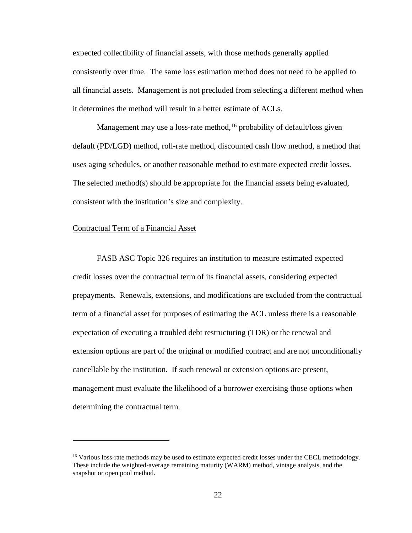expected collectibility of financial assets, with those methods generally applied consistently over time. The same loss estimation method does not need to be applied to all financial assets. Management is not precluded from selecting a different method when it determines the method will result in a better estimate of ACLs.

Management may use a loss-rate method,  $16$  probability of default/loss given default (PD/LGD) method, roll-rate method, discounted cash flow method, a method that uses aging schedules, or another reasonable method to estimate expected credit losses. The selected method(s) should be appropriate for the financial assets being evaluated, consistent with the institution's size and complexity.

#### Contractual Term of a Financial Asset

 $\overline{a}$ 

FASB ASC Topic 326 requires an institution to measure estimated expected credit losses over the contractual term of its financial assets, considering expected prepayments. Renewals, extensions, and modifications are excluded from the contractual term of a financial asset for purposes of estimating the ACL unless there is a reasonable expectation of executing a troubled debt restructuring (TDR) or the renewal and extension options are part of the original or modified contract and are not unconditionally cancellable by the institution. If such renewal or extension options are present, management must evaluate the likelihood of a borrower exercising those options when determining the contractual term.

<span id="page-21-0"></span><sup>&</sup>lt;sup>16</sup> Various loss-rate methods may be used to estimate expected credit losses under the CECL methodology. These include the weighted-average remaining maturity (WARM) method, vintage analysis, and the snapshot or open pool method.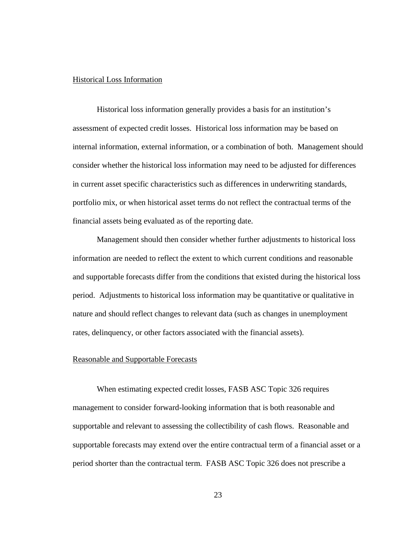## Historical Loss Information

Historical loss information generally provides a basis for an institution's assessment of expected credit losses. Historical loss information may be based on internal information, external information, or a combination of both. Management should consider whether the historical loss information may need to be adjusted for differences in current asset specific characteristics such as differences in underwriting standards, portfolio mix, or when historical asset terms do not reflect the contractual terms of the financial assets being evaluated as of the reporting date.

Management should then consider whether further adjustments to historical loss information are needed to reflect the extent to which current conditions and reasonable and supportable forecasts differ from the conditions that existed during the historical loss period. Adjustments to historical loss information may be quantitative or qualitative in nature and should reflect changes to relevant data (such as changes in unemployment rates, delinquency, or other factors associated with the financial assets).

#### Reasonable and Supportable Forecasts

When estimating expected credit losses, FASB ASC Topic 326 requires management to consider forward-looking information that is both reasonable and supportable and relevant to assessing the collectibility of cash flows. Reasonable and supportable forecasts may extend over the entire contractual term of a financial asset or a period shorter than the contractual term. FASB ASC Topic 326 does not prescribe a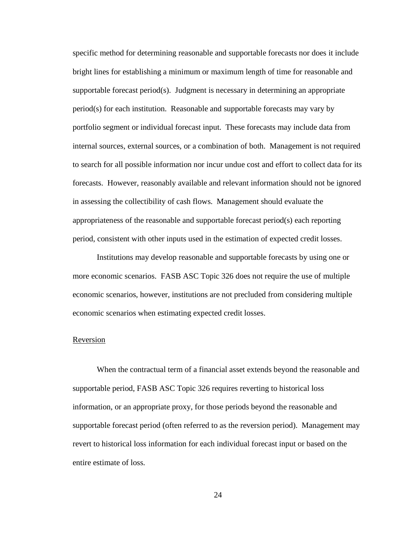specific method for determining reasonable and supportable forecasts nor does it include bright lines for establishing a minimum or maximum length of time for reasonable and supportable forecast period(s). Judgment is necessary in determining an appropriate period(s) for each institution. Reasonable and supportable forecasts may vary by portfolio segment or individual forecast input. These forecasts may include data from internal sources, external sources, or a combination of both. Management is not required to search for all possible information nor incur undue cost and effort to collect data for its forecasts. However, reasonably available and relevant information should not be ignored in assessing the collectibility of cash flows. Management should evaluate the appropriateness of the reasonable and supportable forecast period(s) each reporting period, consistent with other inputs used in the estimation of expected credit losses.

Institutions may develop reasonable and supportable forecasts by using one or more economic scenarios. FASB ASC Topic 326 does not require the use of multiple economic scenarios, however, institutions are not precluded from considering multiple economic scenarios when estimating expected credit losses.

#### Reversion

When the contractual term of a financial asset extends beyond the reasonable and supportable period, FASB ASC Topic 326 requires reverting to historical loss information, or an appropriate proxy, for those periods beyond the reasonable and supportable forecast period (often referred to as the reversion period). Management may revert to historical loss information for each individual forecast input or based on the entire estimate of loss.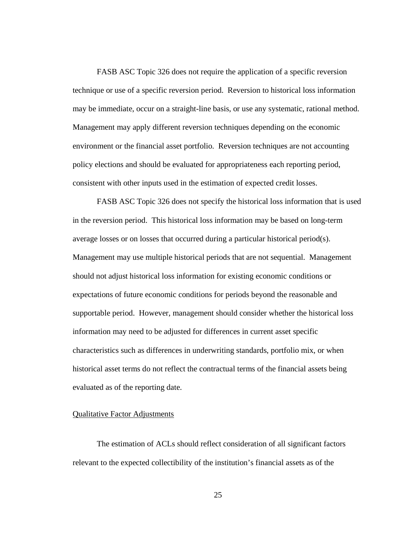FASB ASC Topic 326 does not require the application of a specific reversion technique or use of a specific reversion period. Reversion to historical loss information may be immediate, occur on a straight-line basis, or use any systematic, rational method. Management may apply different reversion techniques depending on the economic environment or the financial asset portfolio. Reversion techniques are not accounting policy elections and should be evaluated for appropriateness each reporting period, consistent with other inputs used in the estimation of expected credit losses.

FASB ASC Topic 326 does not specify the historical loss information that is used in the reversion period. This historical loss information may be based on long-term average losses or on losses that occurred during a particular historical period(s). Management may use multiple historical periods that are not sequential. Management should not adjust historical loss information for existing economic conditions or expectations of future economic conditions for periods beyond the reasonable and supportable period. However, management should consider whether the historical loss information may need to be adjusted for differences in current asset specific characteristics such as differences in underwriting standards, portfolio mix, or when historical asset terms do not reflect the contractual terms of the financial assets being evaluated as of the reporting date.

# Qualitative Factor Adjustments

The estimation of ACLs should reflect consideration of all significant factors relevant to the expected collectibility of the institution's financial assets as of the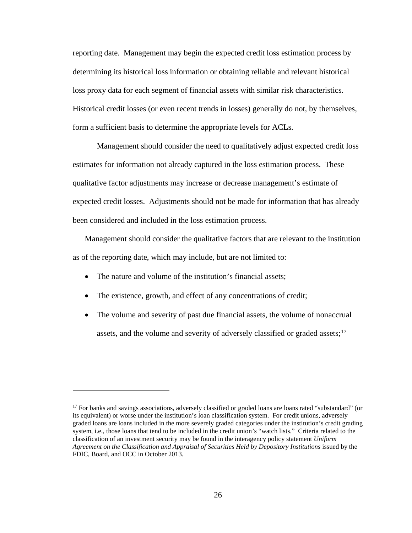reporting date. Management may begin the expected credit loss estimation process by determining its historical loss information or obtaining reliable and relevant historical loss proxy data for each segment of financial assets with similar risk characteristics. Historical credit losses (or even recent trends in losses) generally do not, by themselves, form a sufficient basis to determine the appropriate levels for ACLs.

Management should consider the need to qualitatively adjust expected credit loss estimates for information not already captured in the loss estimation process. These qualitative factor adjustments may increase or decrease management's estimate of expected credit losses. Adjustments should not be made for information that has already been considered and included in the loss estimation process.

Management should consider the qualitative factors that are relevant to the institution as of the reporting date, which may include, but are not limited to:

• The nature and volume of the institution's financial assets;

- The existence, growth, and effect of any concentrations of credit;
- The volume and severity of past due financial assets, the volume of nonaccrual assets, and the volume and severity of adversely classified or graded assets;<sup>[17](#page-25-0)</sup>

<span id="page-25-1"></span><span id="page-25-0"></span><sup>&</sup>lt;sup>17</sup> For banks and savings associations, adversely classified or graded loans are loans rated "substandard" (or its equivalent) or worse under the institution's loan classification system. For credit unions, adversely graded loans are loans included in the more severely graded categories under the institution's credit grading system, i.e., those loans that tend to be included in the credit union's "watch lists." Criteria related to the classification of an investment security may be found in the interagency policy statement *Uniform Agreement on the Classification and Appraisal of Securities Held by Depository Institutions* issued by the FDIC, Board, and OCC in October 2013.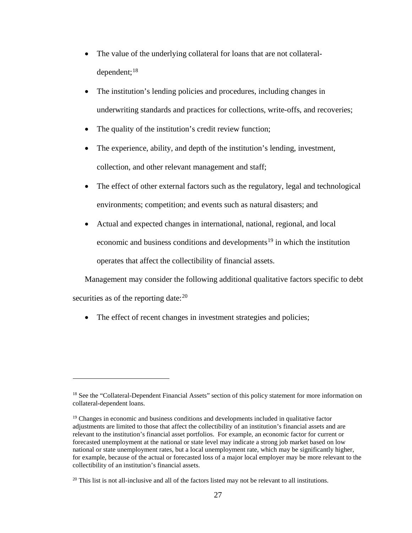- The value of the underlying collateral for loans that are not collateral-dependent;<sup>[18](#page-25-1)</sup>
- The institution's lending policies and procedures, including changes in underwriting standards and practices for collections, write-offs, and recoveries;
- The quality of the institution's credit review function;
- The experience, ability, and depth of the institution's lending, investment, collection, and other relevant management and staff;
- The effect of other external factors such as the regulatory, legal and technological environments; competition; and events such as natural disasters; and
- Actual and expected changes in international, national, regional, and local economic and business conditions and developments<sup>[19](#page-26-0)</sup> in which the institution operates that affect the collectibility of financial assets.

Management may consider the following additional qualitative factors specific to debt securities as of the reporting date: $20$ 

• The effect of recent changes in investment strategies and policies;

<sup>&</sup>lt;sup>18</sup> See the "Collateral-Dependent Financial Assets" section of this policy statement for more information on collateral-dependent loans.

<span id="page-26-0"></span><sup>&</sup>lt;sup>19</sup> Changes in economic and business conditions and developments included in qualitative factor adjustments are limited to those that affect the collectibility of an institution's financial assets and are relevant to the institution's financial asset portfolios. For example, an economic factor for current or forecasted unemployment at the national or state level may indicate a strong job market based on low national or state unemployment rates, but a local unemployment rate, which may be significantly higher, for example, because of the actual or forecasted loss of a major local employer may be more relevant to the collectibility of an institution's financial assets.

<span id="page-26-1"></span><sup>&</sup>lt;sup>20</sup> This list is not all-inclusive and all of the factors listed may not be relevant to all institutions.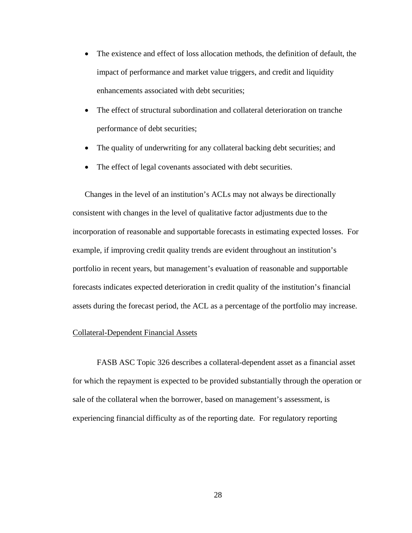- The existence and effect of loss allocation methods, the definition of default, the impact of performance and market value triggers, and credit and liquidity enhancements associated with debt securities;
- The effect of structural subordination and collateral deterioration on tranche performance of debt securities;
- The quality of underwriting for any collateral backing debt securities; and
- The effect of legal covenants associated with debt securities.

Changes in the level of an institution's ACLs may not always be directionally consistent with changes in the level of qualitative factor adjustments due to the incorporation of reasonable and supportable forecasts in estimating expected losses. For example, if improving credit quality trends are evident throughout an institution's portfolio in recent years, but management's evaluation of reasonable and supportable forecasts indicates expected deterioration in credit quality of the institution's financial assets during the forecast period, the ACL as a percentage of the portfolio may increase.

#### Collateral-Dependent Financial Assets

FASB ASC Topic 326 describes a collateral-dependent asset as a financial asset for which the repayment is expected to be provided substantially through the operation or sale of the collateral when the borrower, based on management's assessment, is experiencing financial difficulty as of the reporting date. For regulatory reporting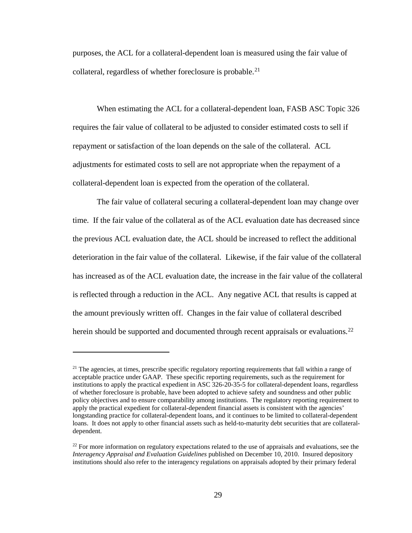purposes, the ACL for a collateral-dependent loan is measured using the fair value of collateral, regardless of whether foreclosure is probable.<sup>21</sup>

When estimating the ACL for a collateral-dependent loan, FASB ASC Topic 326 requires the fair value of collateral to be adjusted to consider estimated costs to sell if repayment or satisfaction of the loan depends on the sale of the collateral. ACL adjustments for estimated costs to sell are not appropriate when the repayment of a collateral-dependent loan is expected from the operation of the collateral.

The fair value of collateral securing a collateral-dependent loan may change over time. If the fair value of the collateral as of the ACL evaluation date has decreased since the previous ACL evaluation date, the ACL should be increased to reflect the additional deterioration in the fair value of the collateral. Likewise, if the fair value of the collateral has increased as of the ACL evaluation date, the increase in the fair value of the collateral is reflected through a reduction in the ACL. Any negative ACL that results is capped at the amount previously written off. Changes in the fair value of collateral described herein should be supported and documented through recent appraisals or evaluations.<sup>[22](#page-28-1)</sup>

<span id="page-28-0"></span> $21$  The agencies, at times, prescribe specific regulatory reporting requirements that fall within a range of acceptable practice under GAAP. These specific reporting requirements, such as the requirement for institutions to apply the practical expedient in ASC 326-20-35-5 for collateral-dependent loans, regardless of whether foreclosure is probable, have been adopted to achieve safety and soundness and other public policy objectives and to ensure comparability among institutions. The regulatory reporting requirement to apply the practical expedient for collateral-dependent financial assets is consistent with the agencies' longstanding practice for collateral-dependent loans, and it continues to be limited to collateral-dependent loans. It does not apply to other financial assets such as held-to-maturity debt securities that are collateraldependent.

<span id="page-28-1"></span> $22$  For more information on regulatory expectations related to the use of appraisals and evaluations, see the *Interagency Appraisal and Evaluation Guidelines* published on December 10, 2010. Insured depository institutions should also refer to the interagency regulations on appraisals adopted by their primary federal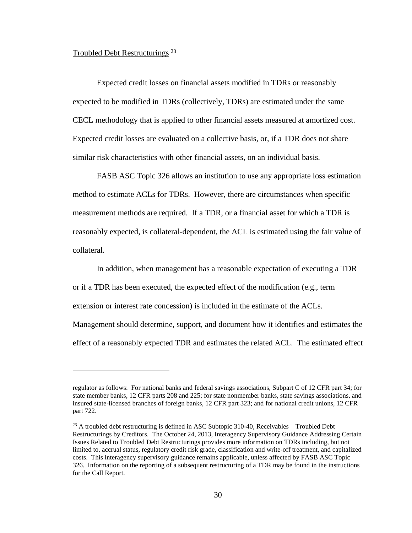## Troubled Debt Restructurings<sup>[23](#page-29-0)</sup>

 $\overline{a}$ 

Expected credit losses on financial assets modified in TDRs or reasonably expected to be modified in TDRs (collectively, TDRs) are estimated under the same CECL methodology that is applied to other financial assets measured at amortized cost. Expected credit losses are evaluated on a collective basis, or, if a TDR does not share similar risk characteristics with other financial assets, on an individual basis.

FASB ASC Topic 326 allows an institution to use any appropriate loss estimation method to estimate ACLs for TDRs. However, there are circumstances when specific measurement methods are required. If a TDR, or a financial asset for which a TDR is reasonably expected, is collateral-dependent, the ACL is estimated using the fair value of collateral.

In addition, when management has a reasonable expectation of executing a TDR or if a TDR has been executed, the expected effect of the modification (e.g., term extension or interest rate concession) is included in the estimate of the ACLs. Management should determine, support, and document how it identifies and estimates the effect of a reasonably expected TDR and estimates the related ACL. The estimated effect

regulator as follows: For national banks and federal savings associations, Subpart C of 12 CFR part 34; for state member banks, 12 CFR parts 208 and 225; for state nonmember banks, state savings associations, and insured state-licensed branches of foreign banks, 12 CFR part 323; and for national credit unions, 12 CFR part 722.

<span id="page-29-0"></span> $^{23}$  A troubled debt restructuring is defined in ASC Subtopic 310-40, Receivables – Troubled Debt Restructurings by Creditors. The October 24, 2013, Interagency Supervisory Guidance Addressing Certain Issues Related to Troubled Debt Restructurings provides more information on TDRs including, but not limited to, accrual status, regulatory credit risk grade, classification and write-off treatment, and capitalized costs. This interagency supervisory guidance remains applicable, unless affected by FASB ASC Topic 326. Information on the reporting of a subsequent restructuring of a TDR may be found in the instructions for the Call Report.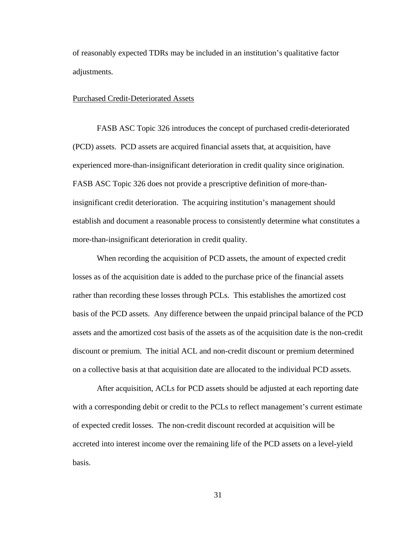of reasonably expected TDRs may be included in an institution's qualitative factor adjustments.

#### Purchased Credit-Deteriorated Assets

FASB ASC Topic 326 introduces the concept of purchased credit-deteriorated (PCD) assets. PCD assets are acquired financial assets that, at acquisition, have experienced more-than-insignificant deterioration in credit quality since origination. FASB ASC Topic 326 does not provide a prescriptive definition of more-thaninsignificant credit deterioration. The acquiring institution's management should establish and document a reasonable process to consistently determine what constitutes a more-than-insignificant deterioration in credit quality.

When recording the acquisition of PCD assets, the amount of expected credit losses as of the acquisition date is added to the purchase price of the financial assets rather than recording these losses through PCLs. This establishes the amortized cost basis of the PCD assets. Any difference between the unpaid principal balance of the PCD assets and the amortized cost basis of the assets as of the acquisition date is the non-credit discount or premium. The initial ACL and non-credit discount or premium determined on a collective basis at that acquisition date are allocated to the individual PCD assets.

After acquisition, ACLs for PCD assets should be adjusted at each reporting date with a corresponding debit or credit to the PCLs to reflect management's current estimate of expected credit losses. The non-credit discount recorded at acquisition will be accreted into interest income over the remaining life of the PCD assets on a level-yield basis.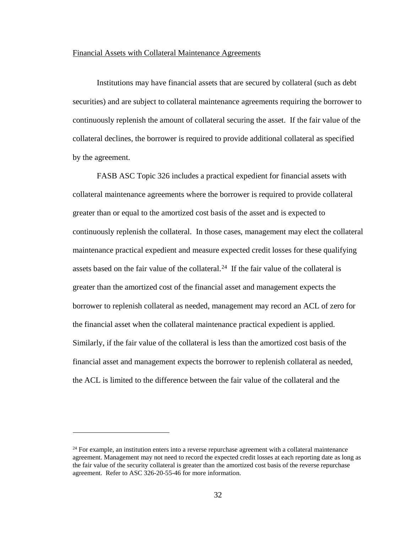## Financial Assets with Collateral Maintenance Agreements

Institutions may have financial assets that are secured by collateral (such as debt securities) and are subject to collateral maintenance agreements requiring the borrower to continuously replenish the amount of collateral securing the asset. If the fair value of the collateral declines, the borrower is required to provide additional collateral as specified by the agreement.

FASB ASC Topic 326 includes a practical expedient for financial assets with collateral maintenance agreements where the borrower is required to provide collateral greater than or equal to the amortized cost basis of the asset and is expected to continuously replenish the collateral. In those cases, management may elect the collateral maintenance practical expedient and measure expected credit losses for these qualifying assets based on the fair value of the collateral.<sup>24</sup> If the fair value of the collateral is greater than the amortized cost of the financial asset and management expects the borrower to replenish collateral as needed, management may record an ACL of zero for the financial asset when the collateral maintenance practical expedient is applied. Similarly, if the fair value of the collateral is less than the amortized cost basis of the financial asset and management expects the borrower to replenish collateral as needed, the ACL is limited to the difference between the fair value of the collateral and the

<span id="page-31-0"></span> $24$  For example, an institution enters into a reverse repurchase agreement with a collateral maintenance agreement. Management may not need to record the expected credit losses at each reporting date as long as the fair value of the security collateral is greater than the amortized cost basis of the reverse repurchase agreement. Refer to ASC 326-20-55-46 for more information.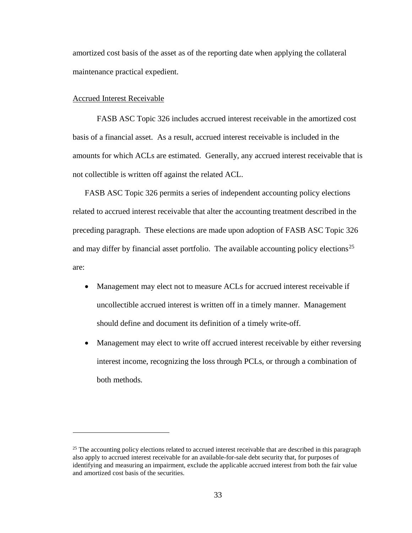amortized cost basis of the asset as of the reporting date when applying the collateral maintenance practical expedient.

#### Accrued Interest Receivable

 $\overline{a}$ 

FASB ASC Topic 326 includes accrued interest receivable in the amortized cost basis of a financial asset. As a result, accrued interest receivable is included in the amounts for which ACLs are estimated. Generally, any accrued interest receivable that is not collectible is written off against the related ACL.

FASB ASC Topic 326 permits a series of independent accounting policy elections related to accrued interest receivable that alter the accounting treatment described in the preceding paragraph. These elections are made upon adoption of FASB ASC Topic 326 and may differ by financial asset portfolio. The available accounting policy elections<sup>[25](#page-32-0)</sup> are:

- Management may elect not to measure ACLs for accrued interest receivable if uncollectible accrued interest is written off in a timely manner. Management should define and document its definition of a timely write-off.
- Management may elect to write off accrued interest receivable by either reversing interest income, recognizing the loss through PCLs, or through a combination of both methods.

<span id="page-32-0"></span> $25$  The accounting policy elections related to accrued interest receivable that are described in this paragraph also apply to accrued interest receivable for an available-for-sale debt security that, for purposes of identifying and measuring an impairment, exclude the applicable accrued interest from both the fair value and amortized cost basis of the securities.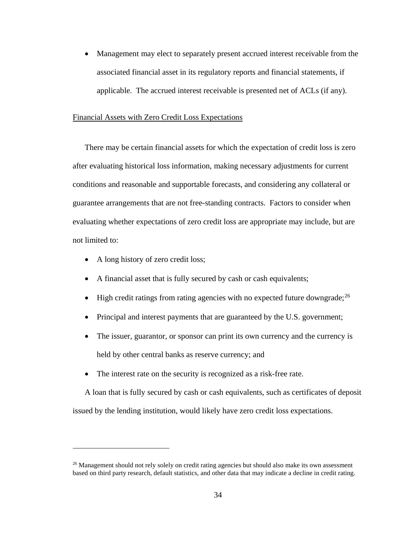• Management may elect to separately present accrued interest receivable from the associated financial asset in its regulatory reports and financial statements, if applicable. The accrued interest receivable is presented net of ACLs (if any).

#### Financial Assets with Zero Credit Loss Expectations

There may be certain financial assets for which the expectation of credit loss is zero after evaluating historical loss information, making necessary adjustments for current conditions and reasonable and supportable forecasts, and considering any collateral or guarantee arrangements that are not free-standing contracts. Factors to consider when evaluating whether expectations of zero credit loss are appropriate may include, but are not limited to:

• A long history of zero credit loss;

 $\overline{a}$ 

- A financial asset that is fully secured by cash or cash equivalents;
- High credit ratings from rating agencies with no expected future downgrade;  $^{26}$  $^{26}$  $^{26}$
- Principal and interest payments that are guaranteed by the U.S. government;
- The issuer, guarantor, or sponsor can print its own currency and the currency is held by other central banks as reserve currency; and
- The interest rate on the security is recognized as a risk-free rate.

A loan that is fully secured by cash or cash equivalents, such as certificates of deposit issued by the lending institution, would likely have zero credit loss expectations.

<span id="page-33-0"></span><sup>&</sup>lt;sup>26</sup> Management should not rely solely on credit rating agencies but should also make its own assessment based on third party research, default statistics, and other data that may indicate a decline in credit rating.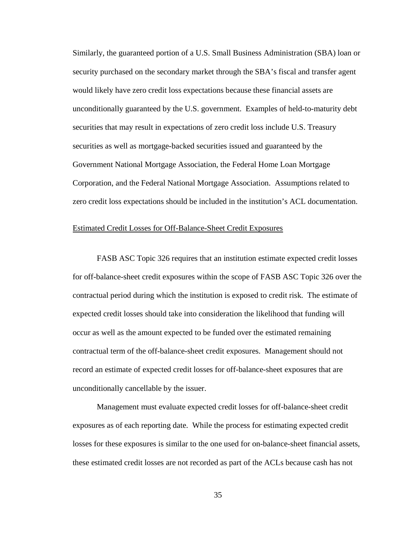Similarly, the guaranteed portion of a U.S. Small Business Administration (SBA) loan or security purchased on the secondary market through the SBA's fiscal and transfer agent would likely have zero credit loss expectations because these financial assets are unconditionally guaranteed by the U.S. government. Examples of held-to-maturity debt securities that may result in expectations of zero credit loss include U.S. Treasury securities as well as mortgage-backed securities issued and guaranteed by the Government National Mortgage Association, the Federal Home Loan Mortgage Corporation, and the Federal National Mortgage Association. Assumptions related to zero credit loss expectations should be included in the institution's ACL documentation.

#### Estimated Credit Losses for Off-Balance-Sheet Credit Exposures

FASB ASC Topic 326 requires that an institution estimate expected credit losses for off-balance-sheet credit exposures within the scope of FASB ASC Topic 326 over the contractual period during which the institution is exposed to credit risk. The estimate of expected credit losses should take into consideration the likelihood that funding will occur as well as the amount expected to be funded over the estimated remaining contractual term of the off-balance-sheet credit exposures. Management should not record an estimate of expected credit losses for off-balance-sheet exposures that are unconditionally cancellable by the issuer.

Management must evaluate expected credit losses for off-balance-sheet credit exposures as of each reporting date. While the process for estimating expected credit losses for these exposures is similar to the one used for on-balance-sheet financial assets, these estimated credit losses are not recorded as part of the ACLs because cash has not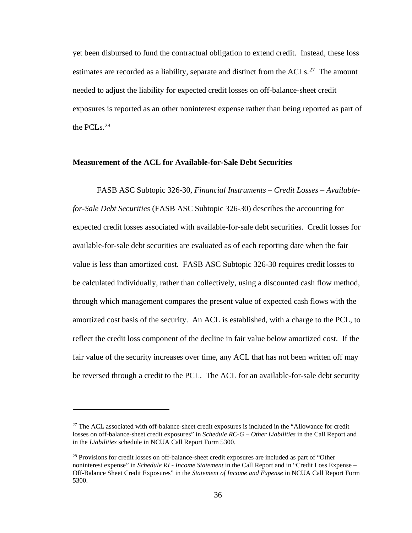yet been disbursed to fund the contractual obligation to extend credit. Instead, these loss estimates are recorded as a liability, separate and distinct from the ACLs.<sup>[27](#page-35-0)</sup> The amount needed to adjust the liability for expected credit losses on off-balance-sheet credit exposures is reported as an other noninterest expense rather than being reported as part of the PCLs. [28](#page-35-1)

### **Measurement of the ACL for Available-for-Sale Debt Securities**

FASB ASC Subtopic 326-30, *Financial Instruments – Credit Losses – Availablefor-Sale Debt Securities* (FASB ASC Subtopic 326-30) describes the accounting for expected credit losses associated with available-for-sale debt securities. Credit losses for available-for-sale debt securities are evaluated as of each reporting date when the fair value is less than amortized cost. FASB ASC Subtopic 326-30 requires credit losses to be calculated individually, rather than collectively, using a discounted cash flow method, through which management compares the present value of expected cash flows with the amortized cost basis of the security. An ACL is established, with a charge to the PCL, to reflect the credit loss component of the decline in fair value below amortized cost. If the fair value of the security increases over time, any ACL that has not been written off may be reversed through a credit to the PCL. The ACL for an available-for-sale debt security

<span id="page-35-0"></span> $27$  The ACL associated with off-balance-sheet credit exposures is included in the "Allowance for credit" losses on off-balance-sheet credit exposures" in *Schedule RC-G – Other Liabilities* in the Call Report and in the *Liabilities* schedule in NCUA Call Report Form 5300.

<span id="page-35-1"></span><sup>&</sup>lt;sup>28</sup> Provisions for credit losses on off-balance-sheet credit exposures are included as part of "Other noninterest expense" in *Schedule RI - Income Statement* in the Call Report and in "Credit Loss Expense – Off-Balance Sheet Credit Exposures" in the *Statement of Income and Expense* in NCUA Call Report Form 5300.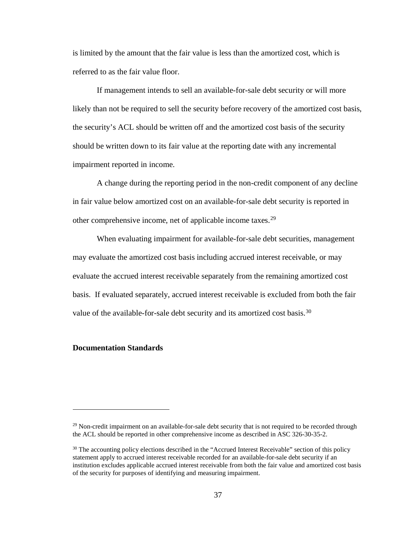is limited by the amount that the fair value is less than the amortized cost, which is referred to as the fair value floor.

If management intends to sell an available-for-sale debt security or will more likely than not be required to sell the security before recovery of the amortized cost basis, the security's ACL should be written off and the amortized cost basis of the security should be written down to its fair value at the reporting date with any incremental impairment reported in income.

A change during the reporting period in the non-credit component of any decline in fair value below amortized cost on an available-for-sale debt security is reported in other comprehensive income, net of applicable income taxes.[29](#page-36-0)

When evaluating impairment for available-for-sale debt securities, management may evaluate the amortized cost basis including accrued interest receivable, or may evaluate the accrued interest receivable separately from the remaining amortized cost basis. If evaluated separately, accrued interest receivable is excluded from both the fair value of the available-for-sale debt security and its amortized cost basis.<sup>[30](#page-36-1)</sup>

# **Documentation Standards**

<span id="page-36-0"></span> $29$  Non-credit impairment on an available-for-sale debt security that is not required to be recorded through the ACL should be reported in other comprehensive income as described in ASC 326-30-35-2.

<span id="page-36-1"></span> $30$  The accounting policy elections described in the "Accrued Interest Receivable" section of this policy statement apply to accrued interest receivable recorded for an available-for-sale debt security if an institution excludes applicable accrued interest receivable from both the fair value and amortized cost basis of the security for purposes of identifying and measuring impairment.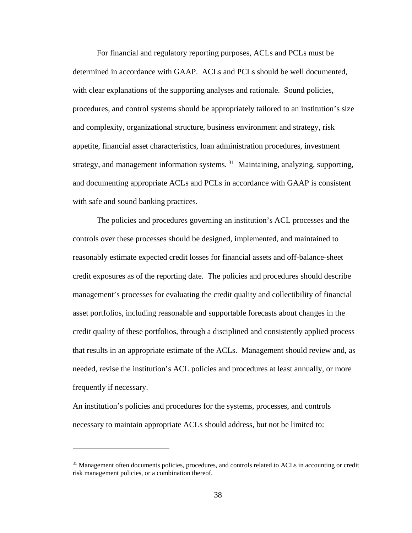For financial and regulatory reporting purposes, ACLs and PCLs must be determined in accordance with GAAP. ACLs and PCLs should be well documented, with clear explanations of the supporting analyses and rationale. Sound policies, procedures, and control systems should be appropriately tailored to an institution's size and complexity, organizational structure, business environment and strategy, risk appetite, financial asset characteristics, loan administration procedures, investment strategy, and management information systems. [31](#page-37-0) Maintaining, analyzing, supporting, and documenting appropriate ACLs and PCLs in accordance with GAAP is consistent with safe and sound banking practices.

The policies and procedures governing an institution's ACL processes and the controls over these processes should be designed, implemented, and maintained to reasonably estimate expected credit losses for financial assets and off-balance-sheet credit exposures as of the reporting date. The policies and procedures should describe management's processes for evaluating the credit quality and collectibility of financial asset portfolios, including reasonable and supportable forecasts about changes in the credit quality of these portfolios, through a disciplined and consistently applied process that results in an appropriate estimate of the ACLs. Management should review and, as needed, revise the institution's ACL policies and procedures at least annually, or more frequently if necessary.

An institution's policies and procedures for the systems, processes, and controls necessary to maintain appropriate ACLs should address, but not be limited to:

<span id="page-37-0"></span><sup>&</sup>lt;sup>31</sup> Management often documents policies, procedures, and controls related to ACLs in accounting or credit risk management policies, or a combination thereof.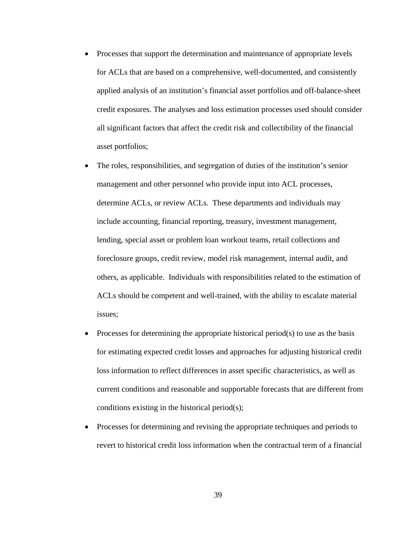- Processes that support the determination and maintenance of appropriate levels for ACLs that are based on a comprehensive, well-documented, and consistently applied analysis of an institution's financial asset portfolios and off-balance-sheet credit exposures. The analyses and loss estimation processes used should consider all significant factors that affect the credit risk and collectibility of the financial asset portfolios;
- The roles, responsibilities, and segregation of duties of the institution's senior management and other personnel who provide input into ACL processes, determine ACLs, or review ACLs. These departments and individuals may include accounting, financial reporting, treasury, investment management, lending, special asset or problem loan workout teams, retail collections and foreclosure groups, credit review, model risk management, internal audit, and others, as applicable. Individuals with responsibilities related to the estimation of ACLs should be competent and well-trained, with the ability to escalate material issues;
- Processes for determining the appropriate historical period(s) to use as the basis for estimating expected credit losses and approaches for adjusting historical credit loss information to reflect differences in asset specific characteristics, as well as current conditions and reasonable and supportable forecasts that are different from conditions existing in the historical period(s);
- Processes for determining and revising the appropriate techniques and periods to revert to historical credit loss information when the contractual term of a financial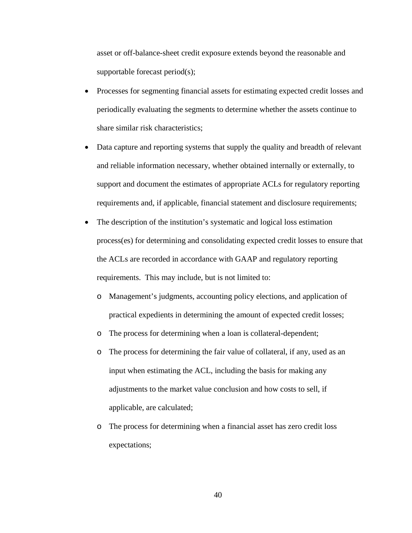asset or off-balance-sheet credit exposure extends beyond the reasonable and supportable forecast period(s);

- Processes for segmenting financial assets for estimating expected credit losses and periodically evaluating the segments to determine whether the assets continue to share similar risk characteristics;
- Data capture and reporting systems that supply the quality and breadth of relevant and reliable information necessary, whether obtained internally or externally, to support and document the estimates of appropriate ACLs for regulatory reporting requirements and, if applicable, financial statement and disclosure requirements;
- The description of the institution's systematic and logical loss estimation process(es) for determining and consolidating expected credit losses to ensure that the ACLs are recorded in accordance with GAAP and regulatory reporting requirements. This may include, but is not limited to:
	- o Management's judgments, accounting policy elections, and application of practical expedients in determining the amount of expected credit losses;
	- o The process for determining when a loan is collateral-dependent;
	- o The process for determining the fair value of collateral, if any, used as an input when estimating the ACL, including the basis for making any adjustments to the market value conclusion and how costs to sell, if applicable, are calculated;
	- o The process for determining when a financial asset has zero credit loss expectations;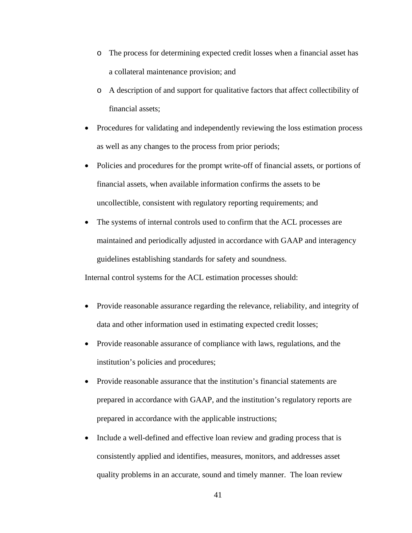- o The process for determining expected credit losses when a financial asset has a collateral maintenance provision; and
- o A description of and support for qualitative factors that affect collectibility of financial assets;
- Procedures for validating and independently reviewing the loss estimation process as well as any changes to the process from prior periods;
- Policies and procedures for the prompt write-off of financial assets, or portions of financial assets, when available information confirms the assets to be uncollectible, consistent with regulatory reporting requirements; and
- The systems of internal controls used to confirm that the ACL processes are maintained and periodically adjusted in accordance with GAAP and interagency guidelines establishing standards for safety and soundness.

Internal control systems for the ACL estimation processes should:

- Provide reasonable assurance regarding the relevance, reliability, and integrity of data and other information used in estimating expected credit losses;
- Provide reasonable assurance of compliance with laws, regulations, and the institution's policies and procedures;
- Provide reasonable assurance that the institution's financial statements are prepared in accordance with GAAP, and the institution's regulatory reports are prepared in accordance with the applicable instructions;
- Include a well-defined and effective loan review and grading process that is consistently applied and identifies, measures, monitors, and addresses asset quality problems in an accurate, sound and timely manner. The loan review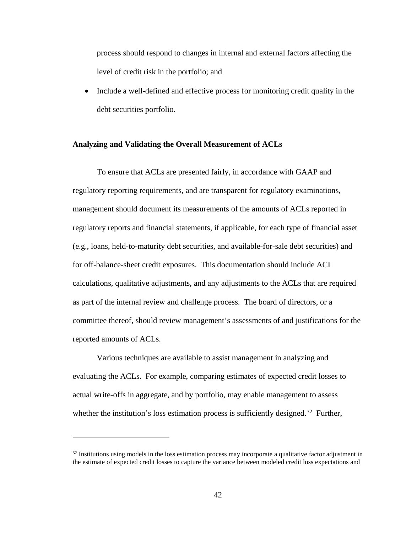process should respond to changes in internal and external factors affecting the level of credit risk in the portfolio; and

• Include a well-defined and effective process for monitoring credit quality in the debt securities portfolio.

## **Analyzing and Validating the Overall Measurement of ACLs**

To ensure that ACLs are presented fairly, in accordance with GAAP and regulatory reporting requirements, and are transparent for regulatory examinations, management should document its measurements of the amounts of ACLs reported in regulatory reports and financial statements, if applicable, for each type of financial asset (e.g., loans, held-to-maturity debt securities, and available-for-sale debt securities) and for off-balance-sheet credit exposures. This documentation should include ACL calculations, qualitative adjustments, and any adjustments to the ACLs that are required as part of the internal review and challenge process. The board of directors, or a committee thereof, should review management's assessments of and justifications for the reported amounts of ACLs.

Various techniques are available to assist management in analyzing and evaluating the ACLs. For example, comparing estimates of expected credit losses to actual write-offs in aggregate, and by portfolio, may enable management to assess whether the institution's loss estimation process is sufficiently designed.<sup>[32](#page-41-0)</sup> Further,

<span id="page-41-0"></span><sup>&</sup>lt;sup>32</sup> Institutions using models in the loss estimation process may incorporate a qualitative factor adjustment in the estimate of expected credit losses to capture the variance between modeled credit loss expectations and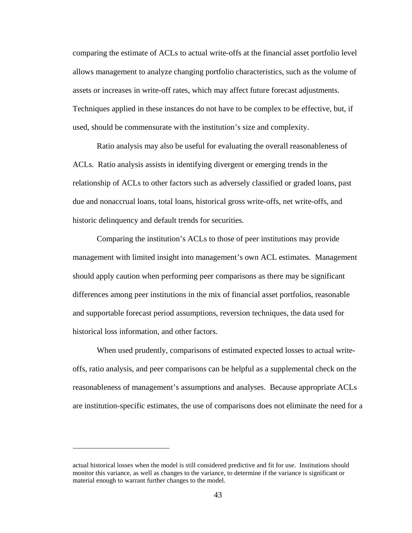comparing the estimate of ACLs to actual write-offs at the financial asset portfolio level allows management to analyze changing portfolio characteristics, such as the volume of assets or increases in write-off rates, which may affect future forecast adjustments. Techniques applied in these instances do not have to be complex to be effective, but, if used, should be commensurate with the institution's size and complexity.

Ratio analysis may also be useful for evaluating the overall reasonableness of ACLs. Ratio analysis assists in identifying divergent or emerging trends in the relationship of ACLs to other factors such as adversely classified or graded loans, past due and nonaccrual loans, total loans, historical gross write-offs, net write-offs, and historic delinquency and default trends for securities.

Comparing the institution's ACLs to those of peer institutions may provide management with limited insight into management's own ACL estimates. Management should apply caution when performing peer comparisons as there may be significant differences among peer institutions in the mix of financial asset portfolios, reasonable and supportable forecast period assumptions, reversion techniques, the data used for historical loss information, and other factors.

When used prudently, comparisons of estimated expected losses to actual writeoffs, ratio analysis, and peer comparisons can be helpful as a supplemental check on the reasonableness of management's assumptions and analyses. Because appropriate ACLs are institution-specific estimates, the use of comparisons does not eliminate the need for a

actual historical losses when the model is still considered predictive and fit for use. Institutions should monitor this variance, as well as changes to the variance, to determine if the variance is significant or material enough to warrant further changes to the model.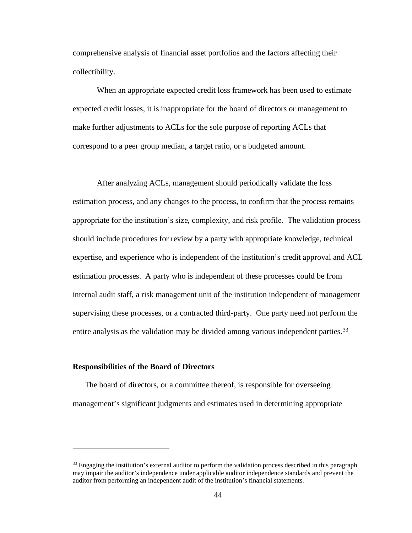comprehensive analysis of financial asset portfolios and the factors affecting their collectibility.

When an appropriate expected credit loss framework has been used to estimate expected credit losses, it is inappropriate for the board of directors or management to make further adjustments to ACLs for the sole purpose of reporting ACLs that correspond to a peer group median, a target ratio, or a budgeted amount.

After analyzing ACLs, management should periodically validate the loss estimation process, and any changes to the process, to confirm that the process remains appropriate for the institution's size, complexity, and risk profile. The validation process should include procedures for review by a party with appropriate knowledge, technical expertise, and experience who is independent of the institution's credit approval and ACL estimation processes. A party who is independent of these processes could be from internal audit staff, a risk management unit of the institution independent of management supervising these processes, or a contracted third-party. One party need not perform the entire analysis as the validation may be divided among various independent parties.<sup>[33](#page-43-0)</sup>

### **Responsibilities of the Board of Directors**

 $\overline{a}$ 

The board of directors, or a committee thereof, is responsible for overseeing management's significant judgments and estimates used in determining appropriate

<span id="page-43-0"></span> $33$  Engaging the institution's external auditor to perform the validation process described in this paragraph may impair the auditor's independence under applicable auditor independence standards and prevent the auditor from performing an independent audit of the institution's financial statements.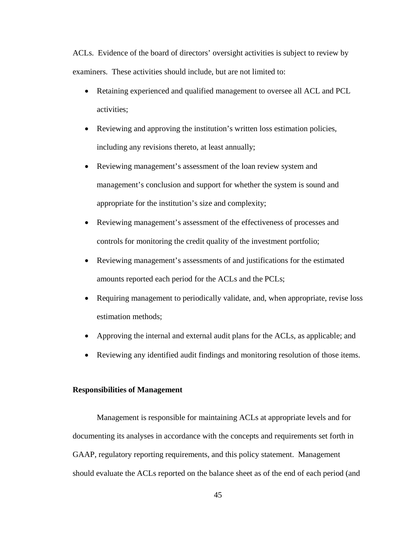ACLs. Evidence of the board of directors' oversight activities is subject to review by examiners. These activities should include, but are not limited to:

- Retaining experienced and qualified management to oversee all ACL and PCL activities;
- Reviewing and approving the institution's written loss estimation policies, including any revisions thereto, at least annually;
- Reviewing management's assessment of the loan review system and management's conclusion and support for whether the system is sound and appropriate for the institution's size and complexity;
- Reviewing management's assessment of the effectiveness of processes and controls for monitoring the credit quality of the investment portfolio;
- Reviewing management's assessments of and justifications for the estimated amounts reported each period for the ACLs and the PCLs;
- Requiring management to periodically validate, and, when appropriate, revise loss estimation methods;
- Approving the internal and external audit plans for the ACLs, as applicable; and
- Reviewing any identified audit findings and monitoring resolution of those items.

#### **Responsibilities of Management**

Management is responsible for maintaining ACLs at appropriate levels and for documenting its analyses in accordance with the concepts and requirements set forth in GAAP, regulatory reporting requirements, and this policy statement. Management should evaluate the ACLs reported on the balance sheet as of the end of each period (and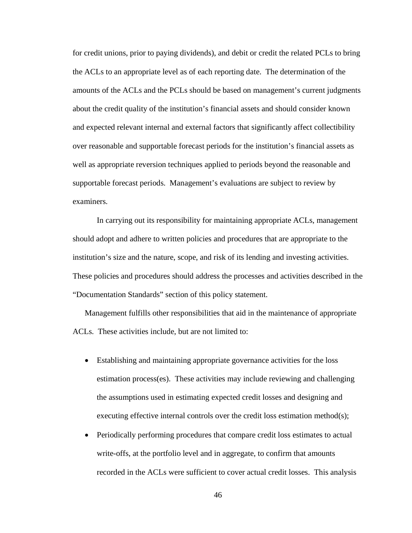for credit unions, prior to paying dividends), and debit or credit the related PCLs to bring the ACLs to an appropriate level as of each reporting date. The determination of the amounts of the ACLs and the PCLs should be based on management's current judgments about the credit quality of the institution's financial assets and should consider known and expected relevant internal and external factors that significantly affect collectibility over reasonable and supportable forecast periods for the institution's financial assets as well as appropriate reversion techniques applied to periods beyond the reasonable and supportable forecast periods. Management's evaluations are subject to review by examiners.

In carrying out its responsibility for maintaining appropriate ACLs, management should adopt and adhere to written policies and procedures that are appropriate to the institution's size and the nature, scope, and risk of its lending and investing activities. These policies and procedures should address the processes and activities described in the "Documentation Standards" section of this policy statement.

Management fulfills other responsibilities that aid in the maintenance of appropriate ACLs. These activities include, but are not limited to:

- Establishing and maintaining appropriate governance activities for the loss estimation process(es). These activities may include reviewing and challenging the assumptions used in estimating expected credit losses and designing and executing effective internal controls over the credit loss estimation method(s);
- Periodically performing procedures that compare credit loss estimates to actual write-offs, at the portfolio level and in aggregate, to confirm that amounts recorded in the ACLs were sufficient to cover actual credit losses. This analysis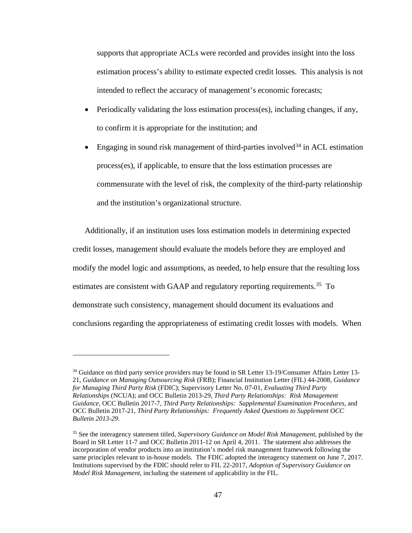supports that appropriate ACLs were recorded and provides insight into the loss estimation process's ability to estimate expected credit losses. This analysis is not intended to reflect the accuracy of management's economic forecasts;

- Periodically validating the loss estimation process(es), including changes, if any, to confirm it is appropriate for the institution; and
- Engaging in sound risk management of third-parties involved  $34$  in ACL estimation process(es), if applicable, to ensure that the loss estimation processes are commensurate with the level of risk, the complexity of the third-party relationship and the institution's organizational structure.

Additionally, if an institution uses loss estimation models in determining expected credit losses, management should evaluate the models before they are employed and modify the model logic and assumptions, as needed, to help ensure that the resulting loss estimates are consistent with GAAP and regulatory reporting requirements.<sup>[35](#page-46-1)</sup> To demonstrate such consistency, management should document its evaluations and conclusions regarding the appropriateness of estimating credit losses with models. When

<span id="page-46-0"></span><sup>&</sup>lt;sup>34</sup> Guidance on third party service providers may be found in SR Letter 13-19/Consumer Affairs Letter 13-21, *Guidance on Managing Outsourcing Risk* (FRB); Financial Institution Letter (FIL) 44-2008, *Guidance for Managing Third Party Risk* (FDIC); Supervisory Letter No. 07-01, *Evaluating Third Party Relationships* (NCUA); and OCC Bulletin 2013-29, *Third Party Relationships: Risk Management Guidance*, OCC Bulletin 2017-7, *Third Party Relationships: Supplemental Examination Procedures*, and OCC Bulletin 2017-21, *Third Party Relationships: Frequently Asked Questions to Supplement OCC Bulletin 2013-29*.

<span id="page-46-1"></span><sup>35</sup> See the interagency statement titled, *Supervisory Guidance on Model Risk Management,* published by the Board in SR Letter 11-7 and OCC Bulletin 2011-12 on April 4, 2011. The statement also addresses the incorporation of vendor products into an institution's model risk management framework following the same principles relevant to in-house models. The FDIC adopted the interagency statement on June 7, 2017. Institutions supervised by the FDIC should refer to FIL 22-2017, *Adoption of Supervisory Guidance on Model Risk Management*, including the statement of applicability in the FIL.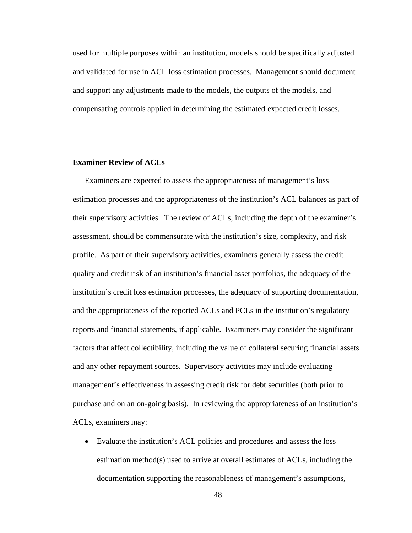used for multiple purposes within an institution, models should be specifically adjusted and validated for use in ACL loss estimation processes. Management should document and support any adjustments made to the models, the outputs of the models, and compensating controls applied in determining the estimated expected credit losses.

# **Examiner Review of ACLs**

Examiners are expected to assess the appropriateness of management's loss estimation processes and the appropriateness of the institution's ACL balances as part of their supervisory activities. The review of ACLs, including the depth of the examiner's assessment, should be commensurate with the institution's size, complexity, and risk profile. As part of their supervisory activities, examiners generally assess the credit quality and credit risk of an institution's financial asset portfolios, the adequacy of the institution's credit loss estimation processes, the adequacy of supporting documentation, and the appropriateness of the reported ACLs and PCLs in the institution's regulatory reports and financial statements, if applicable. Examiners may consider the significant factors that affect collectibility, including the value of collateral securing financial assets and any other repayment sources. Supervisory activities may include evaluating management's effectiveness in assessing credit risk for debt securities (both prior to purchase and on an on-going basis). In reviewing the appropriateness of an institution's ACLs, examiners may:

• Evaluate the institution's ACL policies and procedures and assess the loss estimation method(s) used to arrive at overall estimates of ACLs, including the documentation supporting the reasonableness of management's assumptions,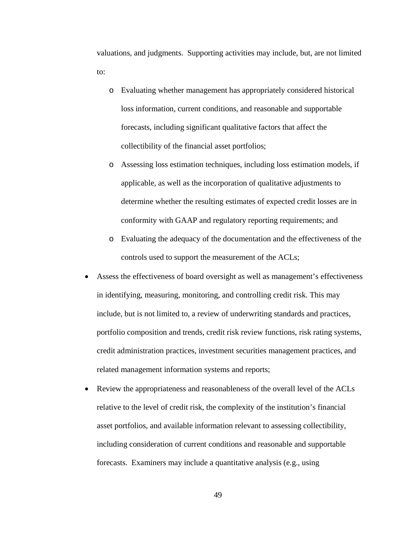valuations, and judgments. Supporting activities may include, but, are not limited to:

- o Evaluating whether management has appropriately considered historical loss information, current conditions, and reasonable and supportable forecasts, including significant qualitative factors that affect the collectibility of the financial asset portfolios;
- o Assessing loss estimation techniques, including loss estimation models, if applicable, as well as the incorporation of qualitative adjustments to determine whether the resulting estimates of expected credit losses are in conformity with GAAP and regulatory reporting requirements; and
- o Evaluating the adequacy of the documentation and the effectiveness of the controls used to support the measurement of the ACLs;
- Assess the effectiveness of board oversight as well as management's effectiveness in identifying, measuring, monitoring, and controlling credit risk. This may include, but is not limited to, a review of underwriting standards and practices, portfolio composition and trends, credit risk review functions, risk rating systems, credit administration practices, investment securities management practices, and related management information systems and reports;
- Review the appropriateness and reasonableness of the overall level of the ACLs relative to the level of credit risk, the complexity of the institution's financial asset portfolios, and available information relevant to assessing collectibility, including consideration of current conditions and reasonable and supportable forecasts. Examiners may include a quantitative analysis (e.g., using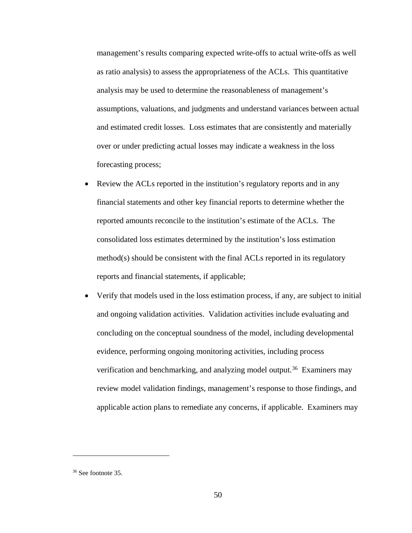management's results comparing expected write-offs to actual write-offs as well as ratio analysis) to assess the appropriateness of the ACLs. This quantitative analysis may be used to determine the reasonableness of management's assumptions, valuations, and judgments and understand variances between actual and estimated credit losses. Loss estimates that are consistently and materially over or under predicting actual losses may indicate a weakness in the loss forecasting process;

- Review the ACLs reported in the institution's regulatory reports and in any financial statements and other key financial reports to determine whether the reported amounts reconcile to the institution's estimate of the ACLs. The consolidated loss estimates determined by the institution's loss estimation method(s) should be consistent with the final ACLs reported in its regulatory reports and financial statements, if applicable;
- Verify that models used in the loss estimation process, if any, are subject to initial and ongoing validation activities. Validation activities include evaluating and concluding on the conceptual soundness of the model, including developmental evidence, performing ongoing monitoring activities, including process verification and benchmarking, and analyzing model output.<sup>36</sup> Examiners may review model validation findings, management's response to those findings, and applicable action plans to remediate any concerns, if applicable. Examiners may

<span id="page-49-0"></span><sup>36</sup> See footnote 35.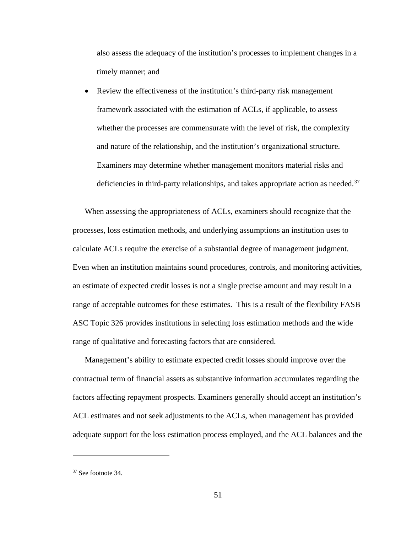also assess the adequacy of the institution's processes to implement changes in a timely manner; and

• Review the effectiveness of the institution's third-party risk management framework associated with the estimation of ACLs, if applicable, to assess whether the processes are commensurate with the level of risk, the complexity and nature of the relationship, and the institution's organizational structure. Examiners may determine whether management monitors material risks and deficiencies in third-party relationships, and takes appropriate action as needed.<sup>[37](#page-50-0)</sup>

When assessing the appropriateness of ACLs, examiners should recognize that the processes, loss estimation methods, and underlying assumptions an institution uses to calculate ACLs require the exercise of a substantial degree of management judgment. Even when an institution maintains sound procedures, controls, and monitoring activities, an estimate of expected credit losses is not a single precise amount and may result in a range of acceptable outcomes for these estimates. This is a result of the flexibility FASB ASC Topic 326 provides institutions in selecting loss estimation methods and the wide range of qualitative and forecasting factors that are considered.

Management's ability to estimate expected credit losses should improve over the contractual term of financial assets as substantive information accumulates regarding the factors affecting repayment prospects. Examiners generally should accept an institution's ACL estimates and not seek adjustments to the ACLs, when management has provided adequate support for the loss estimation process employed, and the ACL balances and the

<span id="page-50-0"></span><sup>37</sup> See footnote 34.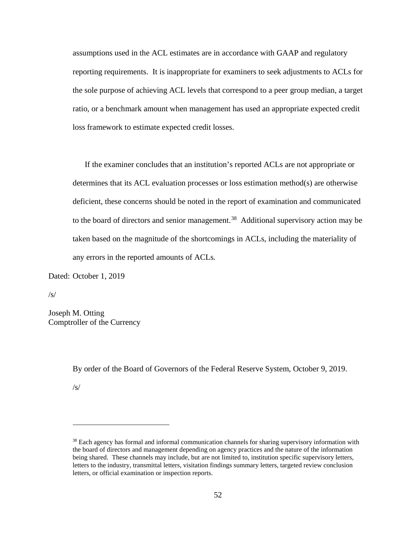assumptions used in the ACL estimates are in accordance with GAAP and regulatory reporting requirements. It is inappropriate for examiners to seek adjustments to ACLs for the sole purpose of achieving ACL levels that correspond to a peer group median, a target ratio, or a benchmark amount when management has used an appropriate expected credit loss framework to estimate expected credit losses.

If the examiner concludes that an institution's reported ACLs are not appropriate or determines that its ACL evaluation processes or loss estimation method(s) are otherwise deficient, these concerns should be noted in the report of examination and communicated to the board of directors and senior management.<sup>38</sup> Additional supervisory action may be taken based on the magnitude of the shortcomings in ACLs, including the materiality of any errors in the reported amounts of ACLs*.*

Dated: October 1, 2019

 $\sqrt{s}$ 

Joseph M. Otting Comptroller of the Currency

By order of the Board of Governors of the Federal Reserve System, October 9, 2019.

 $\sqrt{s}$ 

<span id="page-51-0"></span><sup>38</sup> Each agency has formal and informal communication channels for sharing supervisory information with the board of directors and management depending on agency practices and the nature of the information being shared. These channels may include, but are not limited to, institution specific supervisory letters, letters to the industry, transmittal letters, visitation findings summary letters, targeted review conclusion letters, or official examination or inspection reports.